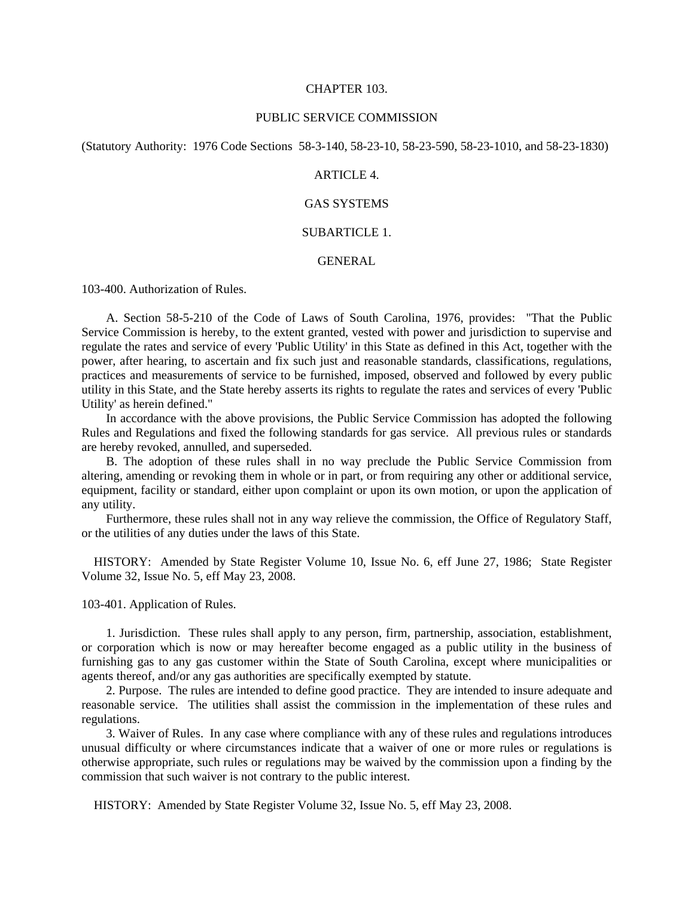#### CHAPTER 103.

#### PUBLIC SERVICE COMMISSION

(Statutory Authority: 1976 Code Sections 58-3-140, 58-23-10, 58-23-590, 58-23-1010, and 58-23-1830)

# ARTICLE 4.

# GAS SYSTEMS

### SUBARTICLE 1.

# GENERAL

103-400. Authorization of Rules.

 A. Section 58-5-210 of the Code of Laws of South Carolina, 1976, provides: "That the Public Service Commission is hereby, to the extent granted, vested with power and jurisdiction to supervise and regulate the rates and service of every 'Public Utility' in this State as defined in this Act, together with the power, after hearing, to ascertain and fix such just and reasonable standards, classifications, regulations, practices and measurements of service to be furnished, imposed, observed and followed by every public utility in this State, and the State hereby asserts its rights to regulate the rates and services of every 'Public Utility' as herein defined."

 In accordance with the above provisions, the Public Service Commission has adopted the following Rules and Regulations and fixed the following standards for gas service. All previous rules or standards are hereby revoked, annulled, and superseded.

 B. The adoption of these rules shall in no way preclude the Public Service Commission from altering, amending or revoking them in whole or in part, or from requiring any other or additional service, equipment, facility or standard, either upon complaint or upon its own motion, or upon the application of any utility.

 Furthermore, these rules shall not in any way relieve the commission, the Office of Regulatory Staff, or the utilities of any duties under the laws of this State.

 HISTORY: Amended by State Register Volume 10, Issue No. 6, eff June 27, 1986; State Register Volume 32, Issue No. 5, eff May 23, 2008.

103-401. Application of Rules.

 1. Jurisdiction. These rules shall apply to any person, firm, partnership, association, establishment, or corporation which is now or may hereafter become engaged as a public utility in the business of furnishing gas to any gas customer within the State of South Carolina, except where municipalities or agents thereof, and/or any gas authorities are specifically exempted by statute.

 2. Purpose. The rules are intended to define good practice. They are intended to insure adequate and reasonable service. The utilities shall assist the commission in the implementation of these rules and regulations.

 3. Waiver of Rules. In any case where compliance with any of these rules and regulations introduces unusual difficulty or where circumstances indicate that a waiver of one or more rules or regulations is otherwise appropriate, such rules or regulations may be waived by the commission upon a finding by the commission that such waiver is not contrary to the public interest.

HISTORY: Amended by State Register Volume 32, Issue No. 5, eff May 23, 2008.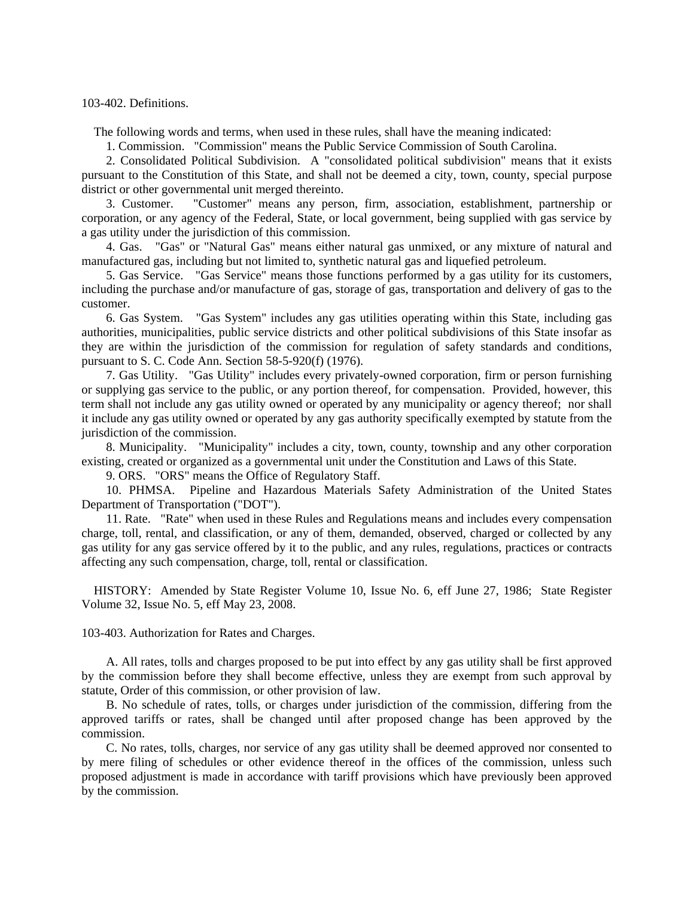103-402. Definitions.

The following words and terms, when used in these rules, shall have the meaning indicated:

1. Commission. "Commission" means the Public Service Commission of South Carolina.

 2. Consolidated Political Subdivision. A "consolidated political subdivision" means that it exists pursuant to the Constitution of this State, and shall not be deemed a city, town, county, special purpose district or other governmental unit merged thereinto.

 3. Customer. "Customer" means any person, firm, association, establishment, partnership or corporation, or any agency of the Federal, State, or local government, being supplied with gas service by a gas utility under the jurisdiction of this commission.

 4. Gas. "Gas" or "Natural Gas" means either natural gas unmixed, or any mixture of natural and manufactured gas, including but not limited to, synthetic natural gas and liquefied petroleum.

 5. Gas Service. "Gas Service" means those functions performed by a gas utility for its customers, including the purchase and/or manufacture of gas, storage of gas, transportation and delivery of gas to the customer.

 6. Gas System. "Gas System" includes any gas utilities operating within this State, including gas authorities, municipalities, public service districts and other political subdivisions of this State insofar as they are within the jurisdiction of the commission for regulation of safety standards and conditions, pursuant to S. C. Code Ann. Section 58-5-920(f) (1976).

 7. Gas Utility. "Gas Utility" includes every privately-owned corporation, firm or person furnishing or supplying gas service to the public, or any portion thereof, for compensation. Provided, however, this term shall not include any gas utility owned or operated by any municipality or agency thereof; nor shall it include any gas utility owned or operated by any gas authority specifically exempted by statute from the jurisdiction of the commission.

 8. Municipality. "Municipality" includes a city, town, county, township and any other corporation existing, created or organized as a governmental unit under the Constitution and Laws of this State.

9. ORS. "ORS" means the Office of Regulatory Staff.

 10. PHMSA. Pipeline and Hazardous Materials Safety Administration of the United States Department of Transportation ("DOT").

 11. Rate. "Rate" when used in these Rules and Regulations means and includes every compensation charge, toll, rental, and classification, or any of them, demanded, observed, charged or collected by any gas utility for any gas service offered by it to the public, and any rules, regulations, practices or contracts affecting any such compensation, charge, toll, rental or classification.

 HISTORY: Amended by State Register Volume 10, Issue No. 6, eff June 27, 1986; State Register Volume 32, Issue No. 5, eff May 23, 2008.

103-403. Authorization for Rates and Charges.

 A. All rates, tolls and charges proposed to be put into effect by any gas utility shall be first approved by the commission before they shall become effective, unless they are exempt from such approval by statute, Order of this commission, or other provision of law.

 B. No schedule of rates, tolls, or charges under jurisdiction of the commission, differing from the approved tariffs or rates, shall be changed until after proposed change has been approved by the commission.

 C. No rates, tolls, charges, nor service of any gas utility shall be deemed approved nor consented to by mere filing of schedules or other evidence thereof in the offices of the commission, unless such proposed adjustment is made in accordance with tariff provisions which have previously been approved by the commission.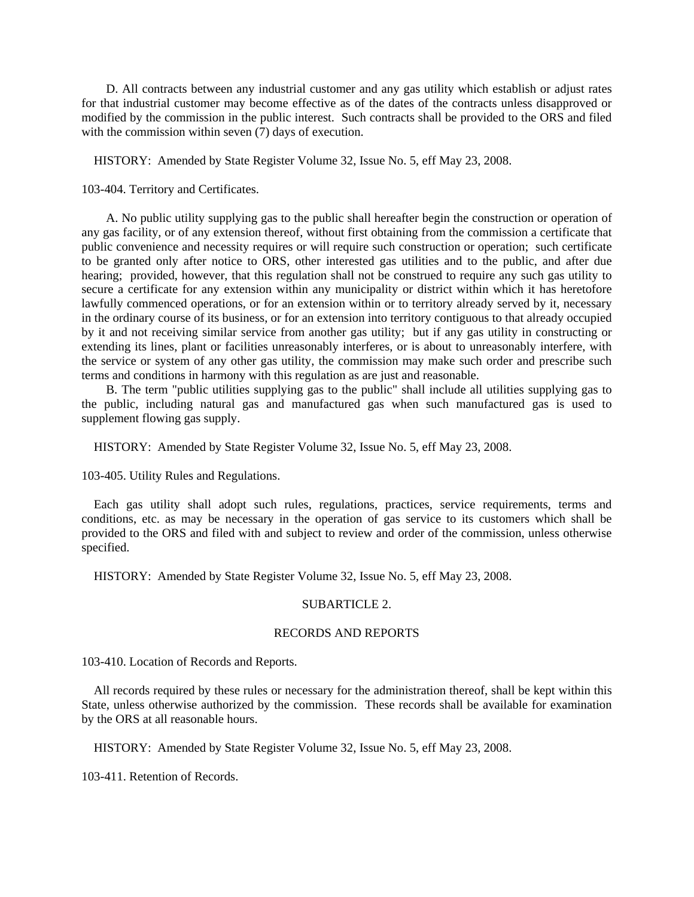D. All contracts between any industrial customer and any gas utility which establish or adjust rates for that industrial customer may become effective as of the dates of the contracts unless disapproved or modified by the commission in the public interest. Such contracts shall be provided to the ORS and filed with the commission within seven  $(7)$  days of execution.

HISTORY: Amended by State Register Volume 32, Issue No. 5, eff May 23, 2008.

103-404. Territory and Certificates.

 A. No public utility supplying gas to the public shall hereafter begin the construction or operation of any gas facility, or of any extension thereof, without first obtaining from the commission a certificate that public convenience and necessity requires or will require such construction or operation; such certificate to be granted only after notice to ORS, other interested gas utilities and to the public, and after due hearing; provided, however, that this regulation shall not be construed to require any such gas utility to secure a certificate for any extension within any municipality or district within which it has heretofore lawfully commenced operations, or for an extension within or to territory already served by it, necessary in the ordinary course of its business, or for an extension into territory contiguous to that already occupied by it and not receiving similar service from another gas utility; but if any gas utility in constructing or extending its lines, plant or facilities unreasonably interferes, or is about to unreasonably interfere, with the service or system of any other gas utility, the commission may make such order and prescribe such terms and conditions in harmony with this regulation as are just and reasonable.

 B. The term "public utilities supplying gas to the public" shall include all utilities supplying gas to the public, including natural gas and manufactured gas when such manufactured gas is used to supplement flowing gas supply.

HISTORY: Amended by State Register Volume 32, Issue No. 5, eff May 23, 2008.

103-405. Utility Rules and Regulations.

 Each gas utility shall adopt such rules, regulations, practices, service requirements, terms and conditions, etc. as may be necessary in the operation of gas service to its customers which shall be provided to the ORS and filed with and subject to review and order of the commission, unless otherwise specified.

HISTORY: Amended by State Register Volume 32, Issue No. 5, eff May 23, 2008.

# SUBARTICLE 2.

# RECORDS AND REPORTS

103-410. Location of Records and Reports.

 All records required by these rules or necessary for the administration thereof, shall be kept within this State, unless otherwise authorized by the commission. These records shall be available for examination by the ORS at all reasonable hours.

HISTORY: Amended by State Register Volume 32, Issue No. 5, eff May 23, 2008.

103-411. Retention of Records.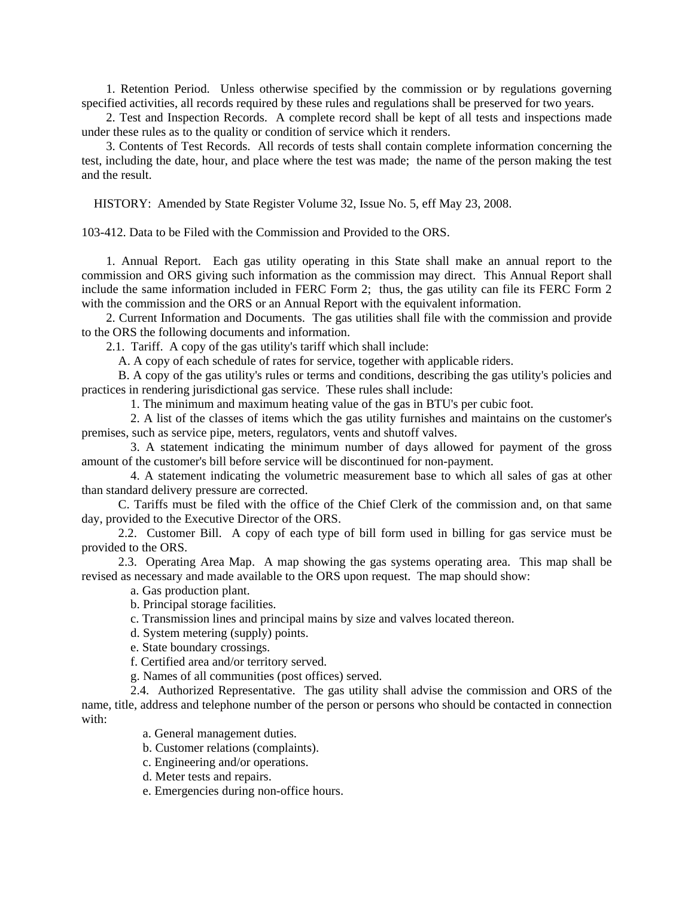1. Retention Period. Unless otherwise specified by the commission or by regulations governing specified activities, all records required by these rules and regulations shall be preserved for two years.

 2. Test and Inspection Records. A complete record shall be kept of all tests and inspections made under these rules as to the quality or condition of service which it renders.

 3. Contents of Test Records. All records of tests shall contain complete information concerning the test, including the date, hour, and place where the test was made; the name of the person making the test and the result.

HISTORY: Amended by State Register Volume 32, Issue No. 5, eff May 23, 2008.

103-412. Data to be Filed with the Commission and Provided to the ORS.

 1. Annual Report. Each gas utility operating in this State shall make an annual report to the commission and ORS giving such information as the commission may direct. This Annual Report shall include the same information included in FERC Form 2; thus, the gas utility can file its FERC Form 2 with the commission and the ORS or an Annual Report with the equivalent information.

 2. Current Information and Documents. The gas utilities shall file with the commission and provide to the ORS the following documents and information.

2.1. Tariff. A copy of the gas utility's tariff which shall include:

A. A copy of each schedule of rates for service, together with applicable riders.

 B. A copy of the gas utility's rules or terms and conditions, describing the gas utility's policies and practices in rendering jurisdictional gas service. These rules shall include:

1. The minimum and maximum heating value of the gas in BTU's per cubic foot.

 2. A list of the classes of items which the gas utility furnishes and maintains on the customer's premises, such as service pipe, meters, regulators, vents and shutoff valves.

 3. A statement indicating the minimum number of days allowed for payment of the gross amount of the customer's bill before service will be discontinued for non-payment.

 4. A statement indicating the volumetric measurement base to which all sales of gas at other than standard delivery pressure are corrected.

 C. Tariffs must be filed with the office of the Chief Clerk of the commission and, on that same day, provided to the Executive Director of the ORS.

 2.2. Customer Bill. A copy of each type of bill form used in billing for gas service must be provided to the ORS.

 2.3. Operating Area Map. A map showing the gas systems operating area. This map shall be revised as necessary and made available to the ORS upon request. The map should show:

a. Gas production plant.

b. Principal storage facilities.

c. Transmission lines and principal mains by size and valves located thereon.

d. System metering (supply) points.

e. State boundary crossings.

f. Certified area and/or territory served.

g. Names of all communities (post offices) served.

 2.4. Authorized Representative. The gas utility shall advise the commission and ORS of the name, title, address and telephone number of the person or persons who should be contacted in connection with:

a. General management duties.

b. Customer relations (complaints).

c. Engineering and/or operations.

d. Meter tests and repairs.

e. Emergencies during non-office hours.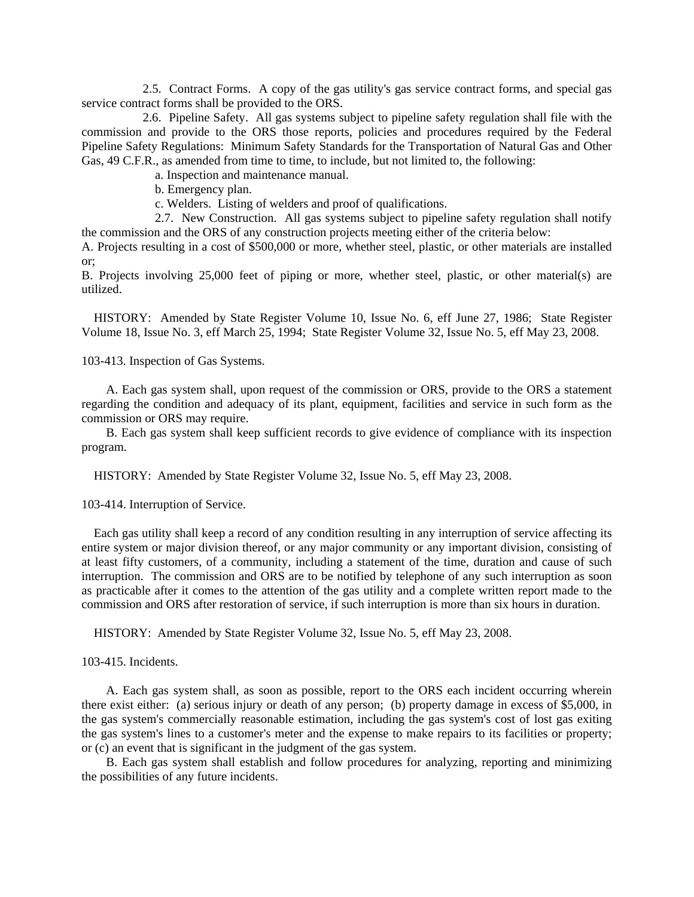2.5. Contract Forms. A copy of the gas utility's gas service contract forms, and special gas service contract forms shall be provided to the ORS.

 2.6. Pipeline Safety. All gas systems subject to pipeline safety regulation shall file with the commission and provide to the ORS those reports, policies and procedures required by the Federal Pipeline Safety Regulations: Minimum Safety Standards for the Transportation of Natural Gas and Other Gas, 49 C.F.R., as amended from time to time, to include, but not limited to, the following:

a. Inspection and maintenance manual.

b. Emergency plan.

c. Welders. Listing of welders and proof of qualifications.

 2.7. New Construction. All gas systems subject to pipeline safety regulation shall notify the commission and the ORS of any construction projects meeting either of the criteria below:

A. Projects resulting in a cost of \$500,000 or more, whether steel, plastic, or other materials are installed or;

B. Projects involving 25,000 feet of piping or more, whether steel, plastic, or other material(s) are utilized.

 HISTORY: Amended by State Register Volume 10, Issue No. 6, eff June 27, 1986; State Register Volume 18, Issue No. 3, eff March 25, 1994; State Register Volume 32, Issue No. 5, eff May 23, 2008.

103-413. Inspection of Gas Systems.

 A. Each gas system shall, upon request of the commission or ORS, provide to the ORS a statement regarding the condition and adequacy of its plant, equipment, facilities and service in such form as the commission or ORS may require.

 B. Each gas system shall keep sufficient records to give evidence of compliance with its inspection program.

HISTORY: Amended by State Register Volume 32, Issue No. 5, eff May 23, 2008.

103-414. Interruption of Service.

 Each gas utility shall keep a record of any condition resulting in any interruption of service affecting its entire system or major division thereof, or any major community or any important division, consisting of at least fifty customers, of a community, including a statement of the time, duration and cause of such interruption. The commission and ORS are to be notified by telephone of any such interruption as soon as practicable after it comes to the attention of the gas utility and a complete written report made to the commission and ORS after restoration of service, if such interruption is more than six hours in duration.

HISTORY: Amended by State Register Volume 32, Issue No. 5, eff May 23, 2008.

103-415. Incidents.

 A. Each gas system shall, as soon as possible, report to the ORS each incident occurring wherein there exist either: (a) serious injury or death of any person; (b) property damage in excess of \$5,000, in the gas system's commercially reasonable estimation, including the gas system's cost of lost gas exiting the gas system's lines to a customer's meter and the expense to make repairs to its facilities or property; or (c) an event that is significant in the judgment of the gas system.

 B. Each gas system shall establish and follow procedures for analyzing, reporting and minimizing the possibilities of any future incidents.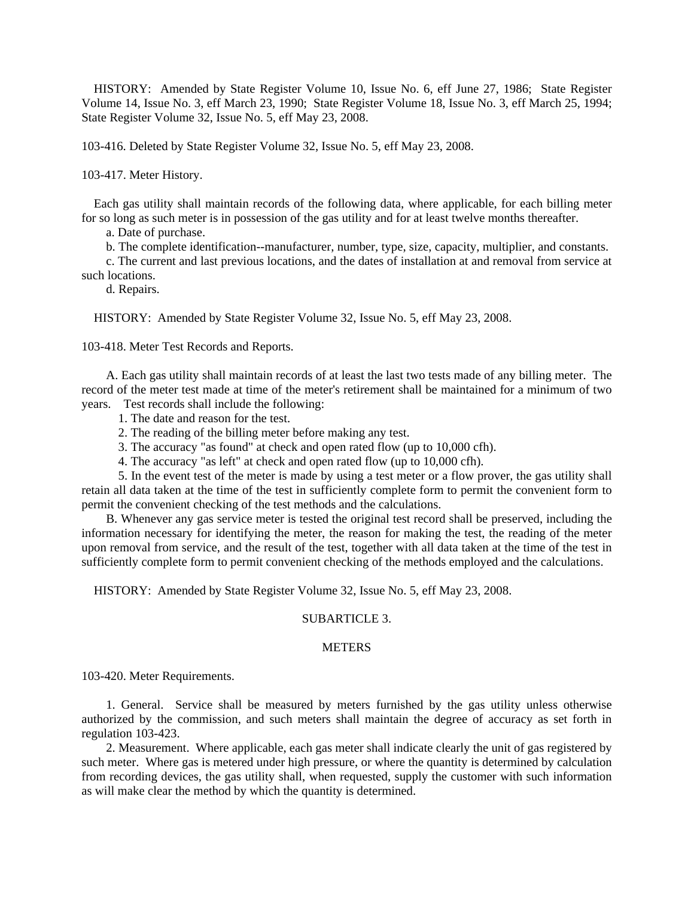HISTORY: Amended by State Register Volume 10, Issue No. 6, eff June 27, 1986; State Register Volume 14, Issue No. 3, eff March 23, 1990; State Register Volume 18, Issue No. 3, eff March 25, 1994; State Register Volume 32, Issue No. 5, eff May 23, 2008.

103-416. Deleted by State Register Volume 32, Issue No. 5, eff May 23, 2008.

103-417. Meter History.

 Each gas utility shall maintain records of the following data, where applicable, for each billing meter for so long as such meter is in possession of the gas utility and for at least twelve months thereafter.

a. Date of purchase.

b. The complete identification--manufacturer, number, type, size, capacity, multiplier, and constants.

 c. The current and last previous locations, and the dates of installation at and removal from service at such locations.

d. Repairs.

HISTORY: Amended by State Register Volume 32, Issue No. 5, eff May 23, 2008.

103-418. Meter Test Records and Reports.

 A. Each gas utility shall maintain records of at least the last two tests made of any billing meter. The record of the meter test made at time of the meter's retirement shall be maintained for a minimum of two years. Test records shall include the following:

- 1. The date and reason for the test.
- 2. The reading of the billing meter before making any test.
- 3. The accuracy "as found" at check and open rated flow (up to 10,000 cfh).
- 4. The accuracy "as left" at check and open rated flow (up to 10,000 cfh).

 5. In the event test of the meter is made by using a test meter or a flow prover, the gas utility shall retain all data taken at the time of the test in sufficiently complete form to permit the convenient form to permit the convenient checking of the test methods and the calculations.

 B. Whenever any gas service meter is tested the original test record shall be preserved, including the information necessary for identifying the meter, the reason for making the test, the reading of the meter upon removal from service, and the result of the test, together with all data taken at the time of the test in sufficiently complete form to permit convenient checking of the methods employed and the calculations.

HISTORY: Amended by State Register Volume 32, Issue No. 5, eff May 23, 2008.

### SUBARTICLE 3.

# **METERS**

103-420. Meter Requirements.

 1. General. Service shall be measured by meters furnished by the gas utility unless otherwise authorized by the commission, and such meters shall maintain the degree of accuracy as set forth in regulation 103-423.

 2. Measurement. Where applicable, each gas meter shall indicate clearly the unit of gas registered by such meter. Where gas is metered under high pressure, or where the quantity is determined by calculation from recording devices, the gas utility shall, when requested, supply the customer with such information as will make clear the method by which the quantity is determined.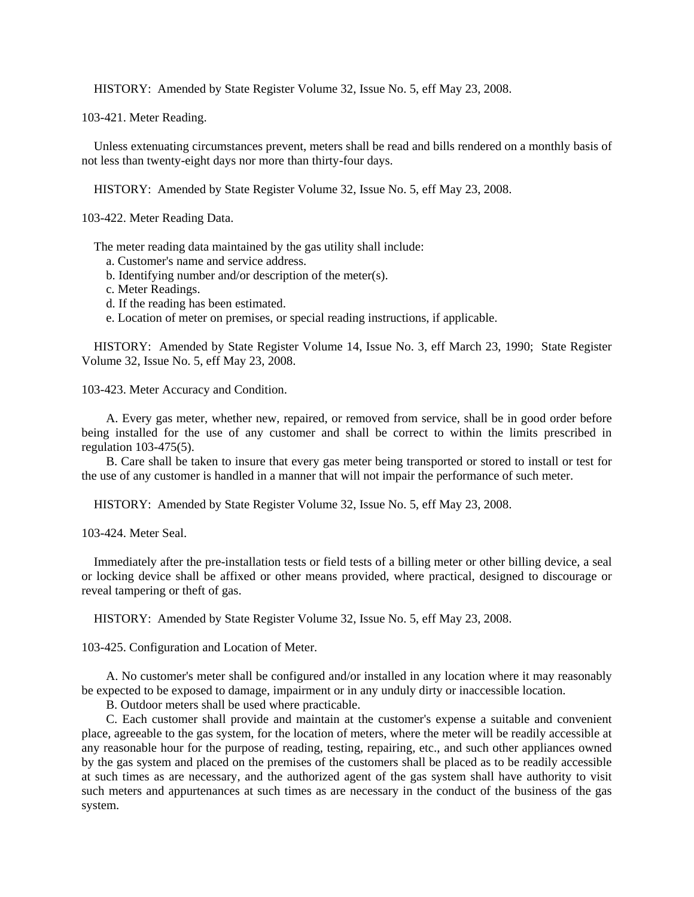HISTORY: Amended by State Register Volume 32, Issue No. 5, eff May 23, 2008.

103-421. Meter Reading.

 Unless extenuating circumstances prevent, meters shall be read and bills rendered on a monthly basis of not less than twenty-eight days nor more than thirty-four days.

HISTORY: Amended by State Register Volume 32, Issue No. 5, eff May 23, 2008.

103-422. Meter Reading Data.

The meter reading data maintained by the gas utility shall include:

- a. Customer's name and service address.
- b. Identifying number and/or description of the meter(s).
- c. Meter Readings.
- d. If the reading has been estimated.
- e. Location of meter on premises, or special reading instructions, if applicable.

 HISTORY: Amended by State Register Volume 14, Issue No. 3, eff March 23, 1990; State Register Volume 32, Issue No. 5, eff May 23, 2008.

103-423. Meter Accuracy and Condition.

 A. Every gas meter, whether new, repaired, or removed from service, shall be in good order before being installed for the use of any customer and shall be correct to within the limits prescribed in regulation 103-475(5).

 B. Care shall be taken to insure that every gas meter being transported or stored to install or test for the use of any customer is handled in a manner that will not impair the performance of such meter.

HISTORY: Amended by State Register Volume 32, Issue No. 5, eff May 23, 2008.

103-424. Meter Seal.

 Immediately after the pre-installation tests or field tests of a billing meter or other billing device, a seal or locking device shall be affixed or other means provided, where practical, designed to discourage or reveal tampering or theft of gas.

HISTORY: Amended by State Register Volume 32, Issue No. 5, eff May 23, 2008.

103-425. Configuration and Location of Meter.

 A. No customer's meter shall be configured and/or installed in any location where it may reasonably be expected to be exposed to damage, impairment or in any unduly dirty or inaccessible location.

B. Outdoor meters shall be used where practicable.

 C. Each customer shall provide and maintain at the customer's expense a suitable and convenient place, agreeable to the gas system, for the location of meters, where the meter will be readily accessible at any reasonable hour for the purpose of reading, testing, repairing, etc., and such other appliances owned by the gas system and placed on the premises of the customers shall be placed as to be readily accessible at such times as are necessary, and the authorized agent of the gas system shall have authority to visit such meters and appurtenances at such times as are necessary in the conduct of the business of the gas system.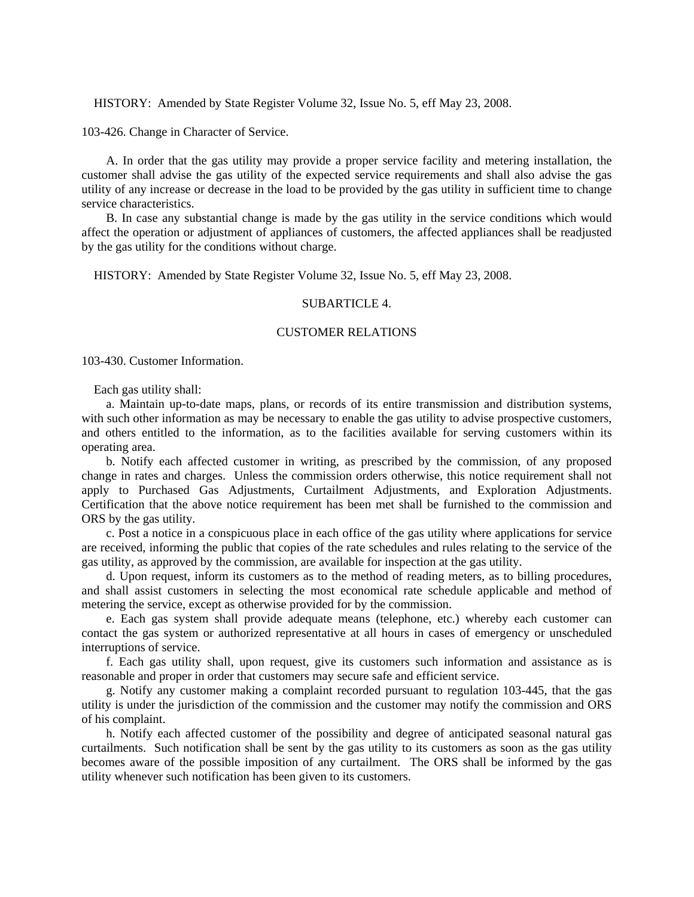HISTORY: Amended by State Register Volume 32, Issue No. 5, eff May 23, 2008.

103-426. Change in Character of Service.

 A. In order that the gas utility may provide a proper service facility and metering installation, the customer shall advise the gas utility of the expected service requirements and shall also advise the gas utility of any increase or decrease in the load to be provided by the gas utility in sufficient time to change service characteristics.

 B. In case any substantial change is made by the gas utility in the service conditions which would affect the operation or adjustment of appliances of customers, the affected appliances shall be readjusted by the gas utility for the conditions without charge.

HISTORY: Amended by State Register Volume 32, Issue No. 5, eff May 23, 2008.

### SUBARTICLE 4

#### CUSTOMER RELATIONS

103-430. Customer Information.

Each gas utility shall:

 a. Maintain up-to-date maps, plans, or records of its entire transmission and distribution systems, with such other information as may be necessary to enable the gas utility to advise prospective customers, and others entitled to the information, as to the facilities available for serving customers within its operating area.

 b. Notify each affected customer in writing, as prescribed by the commission, of any proposed change in rates and charges. Unless the commission orders otherwise, this notice requirement shall not apply to Purchased Gas Adjustments, Curtailment Adjustments, and Exploration Adjustments. Certification that the above notice requirement has been met shall be furnished to the commission and ORS by the gas utility.

 c. Post a notice in a conspicuous place in each office of the gas utility where applications for service are received, informing the public that copies of the rate schedules and rules relating to the service of the gas utility, as approved by the commission, are available for inspection at the gas utility.

 d. Upon request, inform its customers as to the method of reading meters, as to billing procedures, and shall assist customers in selecting the most economical rate schedule applicable and method of metering the service, except as otherwise provided for by the commission.

 e. Each gas system shall provide adequate means (telephone, etc.) whereby each customer can contact the gas system or authorized representative at all hours in cases of emergency or unscheduled interruptions of service.

 f. Each gas utility shall, upon request, give its customers such information and assistance as is reasonable and proper in order that customers may secure safe and efficient service.

 g. Notify any customer making a complaint recorded pursuant to regulation 103-445, that the gas utility is under the jurisdiction of the commission and the customer may notify the commission and ORS of his complaint.

 h. Notify each affected customer of the possibility and degree of anticipated seasonal natural gas curtailments. Such notification shall be sent by the gas utility to its customers as soon as the gas utility becomes aware of the possible imposition of any curtailment. The ORS shall be informed by the gas utility whenever such notification has been given to its customers.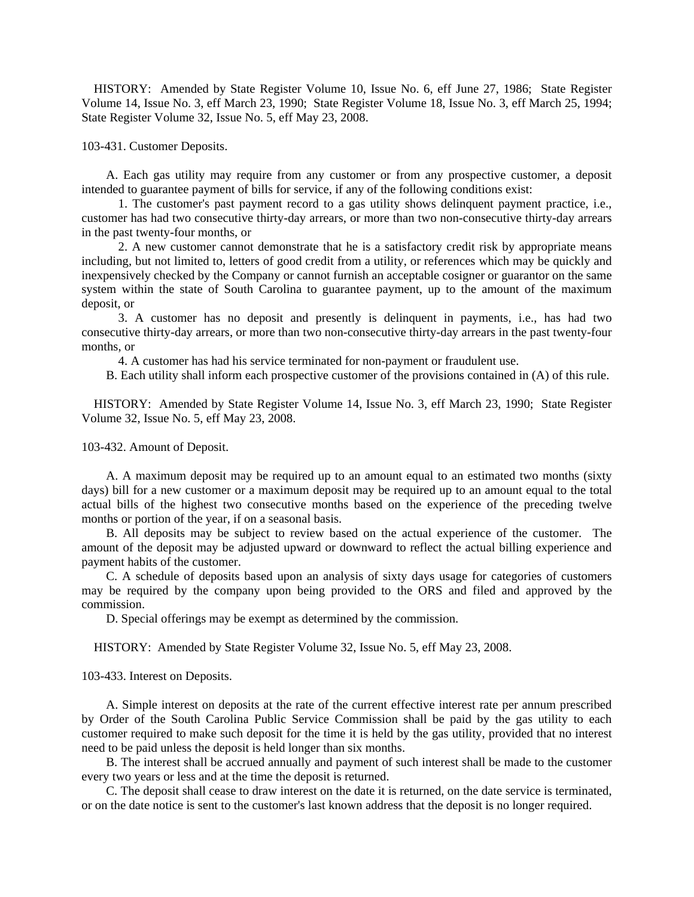HISTORY: Amended by State Register Volume 10, Issue No. 6, eff June 27, 1986; State Register Volume 14, Issue No. 3, eff March 23, 1990; State Register Volume 18, Issue No. 3, eff March 25, 1994; State Register Volume 32, Issue No. 5, eff May 23, 2008.

103-431. Customer Deposits.

 A. Each gas utility may require from any customer or from any prospective customer, a deposit intended to guarantee payment of bills for service, if any of the following conditions exist:

 1. The customer's past payment record to a gas utility shows delinquent payment practice, i.e., customer has had two consecutive thirty-day arrears, or more than two non-consecutive thirty-day arrears in the past twenty-four months, or

 2. A new customer cannot demonstrate that he is a satisfactory credit risk by appropriate means including, but not limited to, letters of good credit from a utility, or references which may be quickly and inexpensively checked by the Company or cannot furnish an acceptable cosigner or guarantor on the same system within the state of South Carolina to guarantee payment, up to the amount of the maximum deposit, or

 3. A customer has no deposit and presently is delinquent in payments, i.e., has had two consecutive thirty-day arrears, or more than two non-consecutive thirty-day arrears in the past twenty-four months, or

4. A customer has had his service terminated for non-payment or fraudulent use.

B. Each utility shall inform each prospective customer of the provisions contained in (A) of this rule.

 HISTORY: Amended by State Register Volume 14, Issue No. 3, eff March 23, 1990; State Register Volume 32, Issue No. 5, eff May 23, 2008.

103-432. Amount of Deposit.

 A. A maximum deposit may be required up to an amount equal to an estimated two months (sixty days) bill for a new customer or a maximum deposit may be required up to an amount equal to the total actual bills of the highest two consecutive months based on the experience of the preceding twelve months or portion of the year, if on a seasonal basis.

 B. All deposits may be subject to review based on the actual experience of the customer. The amount of the deposit may be adjusted upward or downward to reflect the actual billing experience and payment habits of the customer.

 C. A schedule of deposits based upon an analysis of sixty days usage for categories of customers may be required by the company upon being provided to the ORS and filed and approved by the commission.

D. Special offerings may be exempt as determined by the commission.

HISTORY: Amended by State Register Volume 32, Issue No. 5, eff May 23, 2008.

103-433. Interest on Deposits.

 A. Simple interest on deposits at the rate of the current effective interest rate per annum prescribed by Order of the South Carolina Public Service Commission shall be paid by the gas utility to each customer required to make such deposit for the time it is held by the gas utility, provided that no interest need to be paid unless the deposit is held longer than six months.

 B. The interest shall be accrued annually and payment of such interest shall be made to the customer every two years or less and at the time the deposit is returned.

 C. The deposit shall cease to draw interest on the date it is returned, on the date service is terminated, or on the date notice is sent to the customer's last known address that the deposit is no longer required.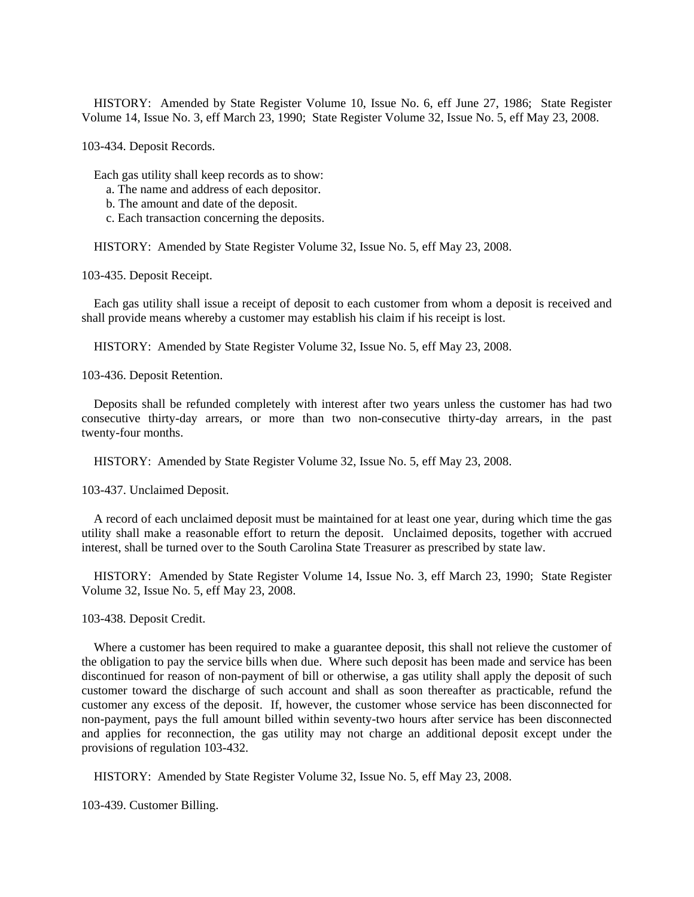HISTORY: Amended by State Register Volume 10, Issue No. 6, eff June 27, 1986; State Register Volume 14, Issue No. 3, eff March 23, 1990; State Register Volume 32, Issue No. 5, eff May 23, 2008.

103-434. Deposit Records.

Each gas utility shall keep records as to show:

- a. The name and address of each depositor.
- b. The amount and date of the deposit.
- c. Each transaction concerning the deposits.

HISTORY: Amended by State Register Volume 32, Issue No. 5, eff May 23, 2008.

103-435. Deposit Receipt.

 Each gas utility shall issue a receipt of deposit to each customer from whom a deposit is received and shall provide means whereby a customer may establish his claim if his receipt is lost.

HISTORY: Amended by State Register Volume 32, Issue No. 5, eff May 23, 2008.

103-436. Deposit Retention.

 Deposits shall be refunded completely with interest after two years unless the customer has had two consecutive thirty-day arrears, or more than two non-consecutive thirty-day arrears, in the past twenty-four months.

HISTORY: Amended by State Register Volume 32, Issue No. 5, eff May 23, 2008.

103-437. Unclaimed Deposit.

 A record of each unclaimed deposit must be maintained for at least one year, during which time the gas utility shall make a reasonable effort to return the deposit. Unclaimed deposits, together with accrued interest, shall be turned over to the South Carolina State Treasurer as prescribed by state law.

 HISTORY: Amended by State Register Volume 14, Issue No. 3, eff March 23, 1990; State Register Volume 32, Issue No. 5, eff May 23, 2008.

103-438. Deposit Credit.

 Where a customer has been required to make a guarantee deposit, this shall not relieve the customer of the obligation to pay the service bills when due. Where such deposit has been made and service has been discontinued for reason of non-payment of bill or otherwise, a gas utility shall apply the deposit of such customer toward the discharge of such account and shall as soon thereafter as practicable, refund the customer any excess of the deposit. If, however, the customer whose service has been disconnected for non-payment, pays the full amount billed within seventy-two hours after service has been disconnected and applies for reconnection, the gas utility may not charge an additional deposit except under the provisions of regulation 103-432.

HISTORY: Amended by State Register Volume 32, Issue No. 5, eff May 23, 2008.

103-439. Customer Billing.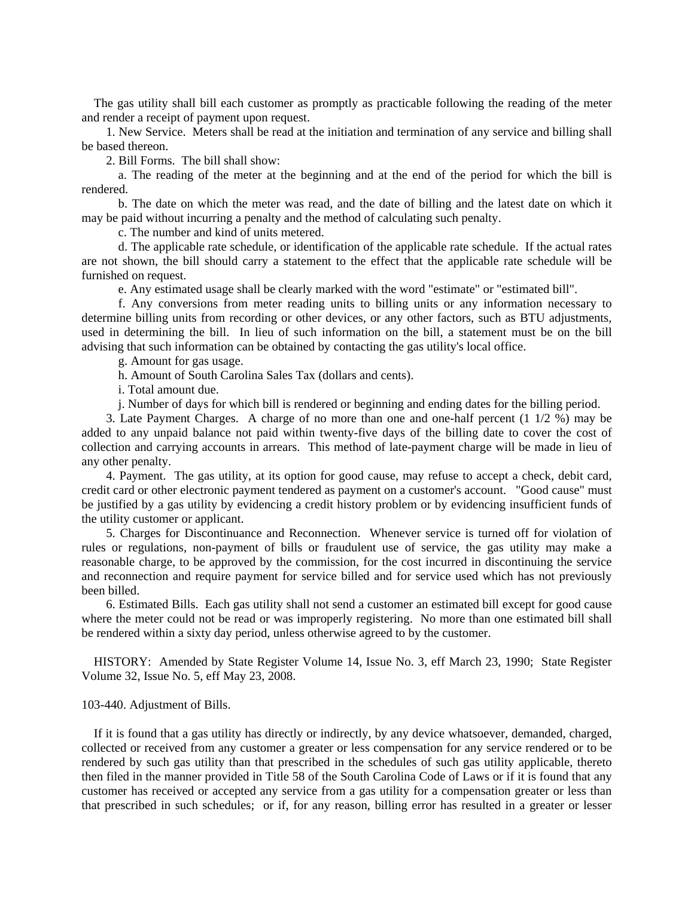The gas utility shall bill each customer as promptly as practicable following the reading of the meter and render a receipt of payment upon request.

 1. New Service. Meters shall be read at the initiation and termination of any service and billing shall be based thereon.

2. Bill Forms. The bill shall show:

 a. The reading of the meter at the beginning and at the end of the period for which the bill is rendered.

 b. The date on which the meter was read, and the date of billing and the latest date on which it may be paid without incurring a penalty and the method of calculating such penalty.

c. The number and kind of units metered.

 d. The applicable rate schedule, or identification of the applicable rate schedule. If the actual rates are not shown, the bill should carry a statement to the effect that the applicable rate schedule will be furnished on request.

e. Any estimated usage shall be clearly marked with the word "estimate" or "estimated bill".

 f. Any conversions from meter reading units to billing units or any information necessary to determine billing units from recording or other devices, or any other factors, such as BTU adjustments, used in determining the bill. In lieu of such information on the bill, a statement must be on the bill advising that such information can be obtained by contacting the gas utility's local office.

g. Amount for gas usage.

h. Amount of South Carolina Sales Tax (dollars and cents).

i. Total amount due.

j. Number of days for which bill is rendered or beginning and ending dates for the billing period.

 3. Late Payment Charges. A charge of no more than one and one-half percent (1 1/2 %) may be added to any unpaid balance not paid within twenty-five days of the billing date to cover the cost of collection and carrying accounts in arrears. This method of late-payment charge will be made in lieu of any other penalty.

 4. Payment. The gas utility, at its option for good cause, may refuse to accept a check, debit card, credit card or other electronic payment tendered as payment on a customer's account. "Good cause" must be justified by a gas utility by evidencing a credit history problem or by evidencing insufficient funds of the utility customer or applicant.

 5. Charges for Discontinuance and Reconnection. Whenever service is turned off for violation of rules or regulations, non-payment of bills or fraudulent use of service, the gas utility may make a reasonable charge, to be approved by the commission, for the cost incurred in discontinuing the service and reconnection and require payment for service billed and for service used which has not previously been billed.

 6. Estimated Bills. Each gas utility shall not send a customer an estimated bill except for good cause where the meter could not be read or was improperly registering. No more than one estimated bill shall be rendered within a sixty day period, unless otherwise agreed to by the customer.

 HISTORY: Amended by State Register Volume 14, Issue No. 3, eff March 23, 1990; State Register Volume 32, Issue No. 5, eff May 23, 2008.

### 103-440. Adjustment of Bills.

 If it is found that a gas utility has directly or indirectly, by any device whatsoever, demanded, charged, collected or received from any customer a greater or less compensation for any service rendered or to be rendered by such gas utility than that prescribed in the schedules of such gas utility applicable, thereto then filed in the manner provided in Title 58 of the South Carolina Code of Laws or if it is found that any customer has received or accepted any service from a gas utility for a compensation greater or less than that prescribed in such schedules; or if, for any reason, billing error has resulted in a greater or lesser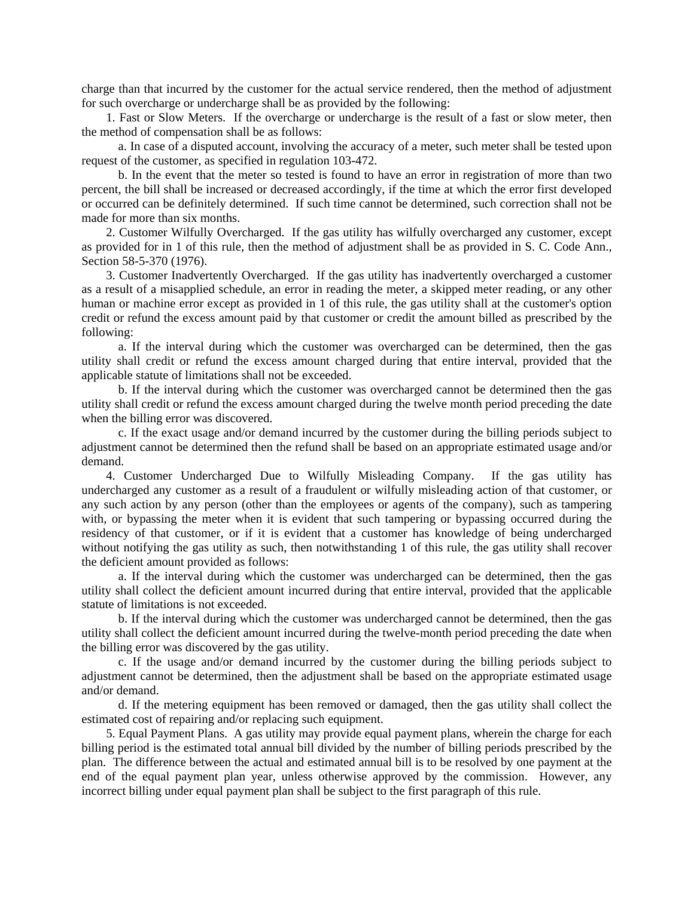charge than that incurred by the customer for the actual service rendered, then the method of adjustment for such overcharge or undercharge shall be as provided by the following:

 1. Fast or Slow Meters. If the overcharge or undercharge is the result of a fast or slow meter, then the method of compensation shall be as follows:

 a. In case of a disputed account, involving the accuracy of a meter, such meter shall be tested upon request of the customer, as specified in regulation 103-472.

 b. In the event that the meter so tested is found to have an error in registration of more than two percent, the bill shall be increased or decreased accordingly, if the time at which the error first developed or occurred can be definitely determined. If such time cannot be determined, such correction shall not be made for more than six months.

 2. Customer Wilfully Overcharged. If the gas utility has wilfully overcharged any customer, except as provided for in 1 of this rule, then the method of adjustment shall be as provided in S. C. Code Ann., Section 58-5-370 (1976).

 3. Customer Inadvertently Overcharged. If the gas utility has inadvertently overcharged a customer as a result of a misapplied schedule, an error in reading the meter, a skipped meter reading, or any other human or machine error except as provided in 1 of this rule, the gas utility shall at the customer's option credit or refund the excess amount paid by that customer or credit the amount billed as prescribed by the following:

 a. If the interval during which the customer was overcharged can be determined, then the gas utility shall credit or refund the excess amount charged during that entire interval, provided that the applicable statute of limitations shall not be exceeded.

 b. If the interval during which the customer was overcharged cannot be determined then the gas utility shall credit or refund the excess amount charged during the twelve month period preceding the date when the billing error was discovered.

 c. If the exact usage and/or demand incurred by the customer during the billing periods subject to adjustment cannot be determined then the refund shall be based on an appropriate estimated usage and/or demand.

 4. Customer Undercharged Due to Wilfully Misleading Company. If the gas utility has undercharged any customer as a result of a fraudulent or wilfully misleading action of that customer, or any such action by any person (other than the employees or agents of the company), such as tampering with, or bypassing the meter when it is evident that such tampering or bypassing occurred during the residency of that customer, or if it is evident that a customer has knowledge of being undercharged without notifying the gas utility as such, then notwithstanding 1 of this rule, the gas utility shall recover the deficient amount provided as follows:

 a. If the interval during which the customer was undercharged can be determined, then the gas utility shall collect the deficient amount incurred during that entire interval, provided that the applicable statute of limitations is not exceeded.

 b. If the interval during which the customer was undercharged cannot be determined, then the gas utility shall collect the deficient amount incurred during the twelve-month period preceding the date when the billing error was discovered by the gas utility.

 c. If the usage and/or demand incurred by the customer during the billing periods subject to adjustment cannot be determined, then the adjustment shall be based on the appropriate estimated usage and/or demand.

 d. If the metering equipment has been removed or damaged, then the gas utility shall collect the estimated cost of repairing and/or replacing such equipment.

 5. Equal Payment Plans. A gas utility may provide equal payment plans, wherein the charge for each billing period is the estimated total annual bill divided by the number of billing periods prescribed by the plan. The difference between the actual and estimated annual bill is to be resolved by one payment at the end of the equal payment plan year, unless otherwise approved by the commission. However, any incorrect billing under equal payment plan shall be subject to the first paragraph of this rule.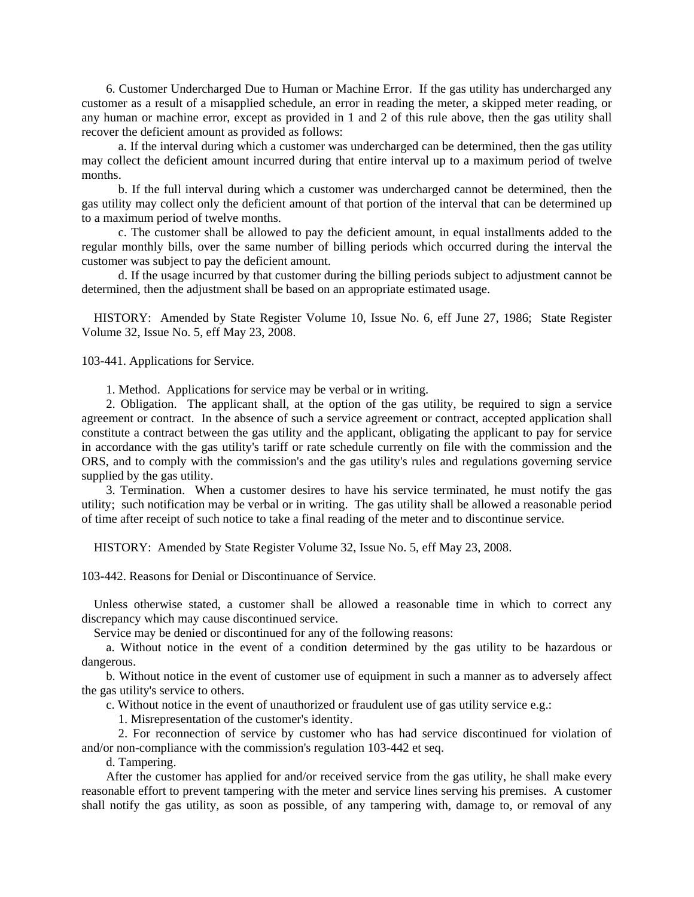6. Customer Undercharged Due to Human or Machine Error. If the gas utility has undercharged any customer as a result of a misapplied schedule, an error in reading the meter, a skipped meter reading, or any human or machine error, except as provided in 1 and 2 of this rule above, then the gas utility shall recover the deficient amount as provided as follows:

 a. If the interval during which a customer was undercharged can be determined, then the gas utility may collect the deficient amount incurred during that entire interval up to a maximum period of twelve months.

 b. If the full interval during which a customer was undercharged cannot be determined, then the gas utility may collect only the deficient amount of that portion of the interval that can be determined up to a maximum period of twelve months.

 c. The customer shall be allowed to pay the deficient amount, in equal installments added to the regular monthly bills, over the same number of billing periods which occurred during the interval the customer was subject to pay the deficient amount.

 d. If the usage incurred by that customer during the billing periods subject to adjustment cannot be determined, then the adjustment shall be based on an appropriate estimated usage.

 HISTORY: Amended by State Register Volume 10, Issue No. 6, eff June 27, 1986; State Register Volume 32, Issue No. 5, eff May 23, 2008.

103-441. Applications for Service.

1. Method. Applications for service may be verbal or in writing.

 2. Obligation. The applicant shall, at the option of the gas utility, be required to sign a service agreement or contract. In the absence of such a service agreement or contract, accepted application shall constitute a contract between the gas utility and the applicant, obligating the applicant to pay for service in accordance with the gas utility's tariff or rate schedule currently on file with the commission and the ORS, and to comply with the commission's and the gas utility's rules and regulations governing service supplied by the gas utility.

 3. Termination. When a customer desires to have his service terminated, he must notify the gas utility; such notification may be verbal or in writing. The gas utility shall be allowed a reasonable period of time after receipt of such notice to take a final reading of the meter and to discontinue service.

HISTORY: Amended by State Register Volume 32, Issue No. 5, eff May 23, 2008.

103-442. Reasons for Denial or Discontinuance of Service.

 Unless otherwise stated, a customer shall be allowed a reasonable time in which to correct any discrepancy which may cause discontinued service.

Service may be denied or discontinued for any of the following reasons:

 a. Without notice in the event of a condition determined by the gas utility to be hazardous or dangerous.

 b. Without notice in the event of customer use of equipment in such a manner as to adversely affect the gas utility's service to others.

c. Without notice in the event of unauthorized or fraudulent use of gas utility service e.g.:

1. Misrepresentation of the customer's identity.

 2. For reconnection of service by customer who has had service discontinued for violation of and/or non-compliance with the commission's regulation 103-442 et seq.

d. Tampering.

 After the customer has applied for and/or received service from the gas utility, he shall make every reasonable effort to prevent tampering with the meter and service lines serving his premises. A customer shall notify the gas utility, as soon as possible, of any tampering with, damage to, or removal of any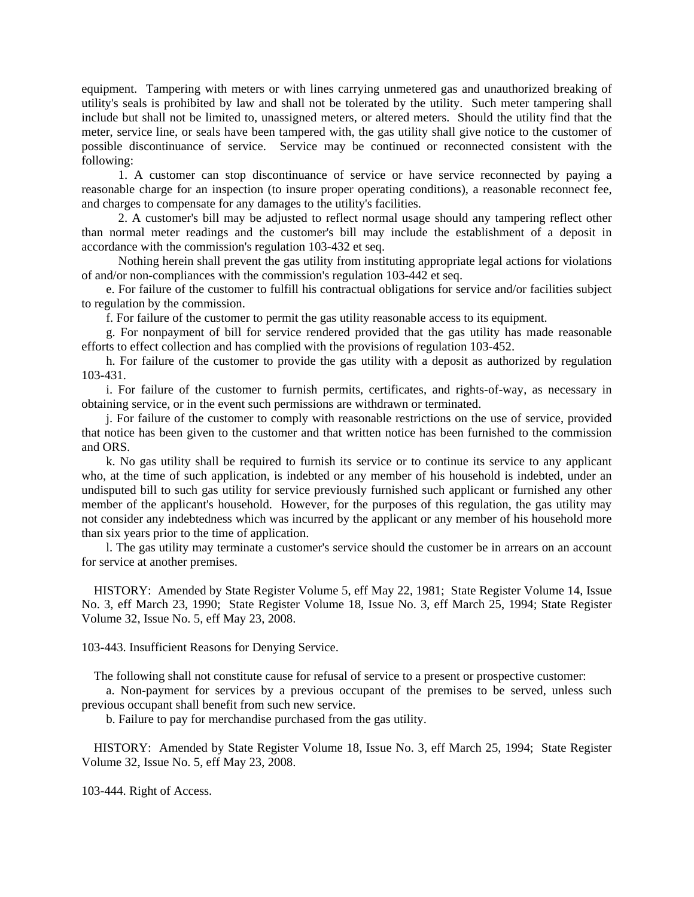equipment. Tampering with meters or with lines carrying unmetered gas and unauthorized breaking of utility's seals is prohibited by law and shall not be tolerated by the utility. Such meter tampering shall include but shall not be limited to, unassigned meters, or altered meters. Should the utility find that the meter, service line, or seals have been tampered with, the gas utility shall give notice to the customer of possible discontinuance of service. Service may be continued or reconnected consistent with the following:

 1. A customer can stop discontinuance of service or have service reconnected by paying a reasonable charge for an inspection (to insure proper operating conditions), a reasonable reconnect fee, and charges to compensate for any damages to the utility's facilities.

 2. A customer's bill may be adjusted to reflect normal usage should any tampering reflect other than normal meter readings and the customer's bill may include the establishment of a deposit in accordance with the commission's regulation 103-432 et seq.

 Nothing herein shall prevent the gas utility from instituting appropriate legal actions for violations of and/or non-compliances with the commission's regulation 103-442 et seq.

 e. For failure of the customer to fulfill his contractual obligations for service and/or facilities subject to regulation by the commission.

f. For failure of the customer to permit the gas utility reasonable access to its equipment.

 g. For nonpayment of bill for service rendered provided that the gas utility has made reasonable efforts to effect collection and has complied with the provisions of regulation 103-452.

 h. For failure of the customer to provide the gas utility with a deposit as authorized by regulation 103-431.

 i. For failure of the customer to furnish permits, certificates, and rights-of-way, as necessary in obtaining service, or in the event such permissions are withdrawn or terminated.

 j. For failure of the customer to comply with reasonable restrictions on the use of service, provided that notice has been given to the customer and that written notice has been furnished to the commission and ORS.

 k. No gas utility shall be required to furnish its service or to continue its service to any applicant who, at the time of such application, is indebted or any member of his household is indebted, under an undisputed bill to such gas utility for service previously furnished such applicant or furnished any other member of the applicant's household. However, for the purposes of this regulation, the gas utility may not consider any indebtedness which was incurred by the applicant or any member of his household more than six years prior to the time of application.

 l. The gas utility may terminate a customer's service should the customer be in arrears on an account for service at another premises.

 HISTORY: Amended by State Register Volume 5, eff May 22, 1981; State Register Volume 14, Issue No. 3, eff March 23, 1990; State Register Volume 18, Issue No. 3, eff March 25, 1994; State Register Volume 32, Issue No. 5, eff May 23, 2008.

103-443. Insufficient Reasons for Denying Service.

The following shall not constitute cause for refusal of service to a present or prospective customer:

 a. Non-payment for services by a previous occupant of the premises to be served, unless such previous occupant shall benefit from such new service.

b. Failure to pay for merchandise purchased from the gas utility.

 HISTORY: Amended by State Register Volume 18, Issue No. 3, eff March 25, 1994; State Register Volume 32, Issue No. 5, eff May 23, 2008.

103-444. Right of Access.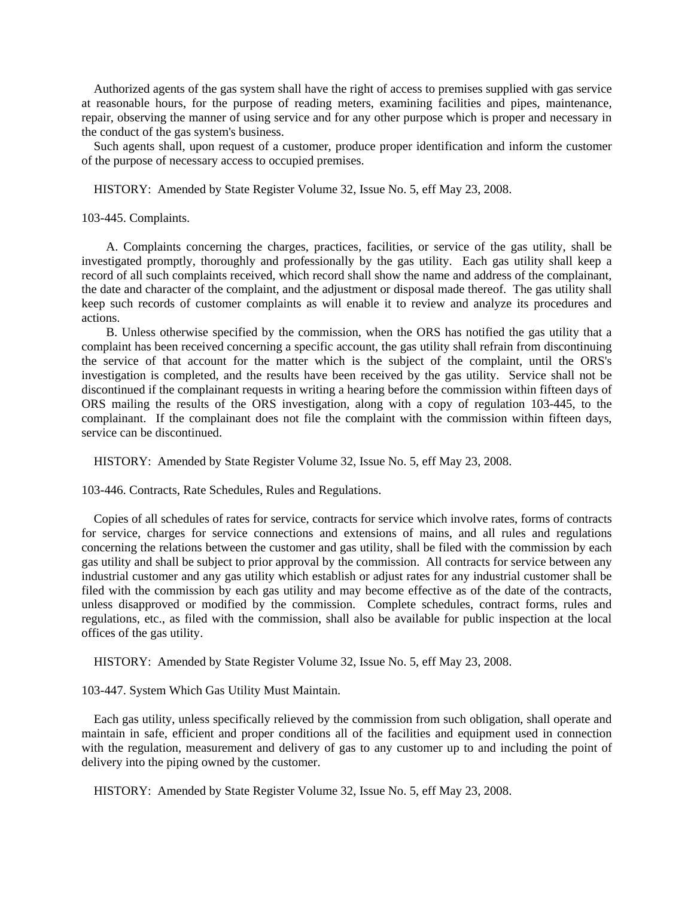Authorized agents of the gas system shall have the right of access to premises supplied with gas service at reasonable hours, for the purpose of reading meters, examining facilities and pipes, maintenance, repair, observing the manner of using service and for any other purpose which is proper and necessary in the conduct of the gas system's business.

 Such agents shall, upon request of a customer, produce proper identification and inform the customer of the purpose of necessary access to occupied premises.

HISTORY: Amended by State Register Volume 32, Issue No. 5, eff May 23, 2008.

103-445. Complaints.

 A. Complaints concerning the charges, practices, facilities, or service of the gas utility, shall be investigated promptly, thoroughly and professionally by the gas utility. Each gas utility shall keep a record of all such complaints received, which record shall show the name and address of the complainant, the date and character of the complaint, and the adjustment or disposal made thereof. The gas utility shall keep such records of customer complaints as will enable it to review and analyze its procedures and actions.

 B. Unless otherwise specified by the commission, when the ORS has notified the gas utility that a complaint has been received concerning a specific account, the gas utility shall refrain from discontinuing the service of that account for the matter which is the subject of the complaint, until the ORS's investigation is completed, and the results have been received by the gas utility. Service shall not be discontinued if the complainant requests in writing a hearing before the commission within fifteen days of ORS mailing the results of the ORS investigation, along with a copy of regulation 103-445, to the complainant. If the complainant does not file the complaint with the commission within fifteen days, service can be discontinued.

HISTORY: Amended by State Register Volume 32, Issue No. 5, eff May 23, 2008.

103-446. Contracts, Rate Schedules, Rules and Regulations.

 Copies of all schedules of rates for service, contracts for service which involve rates, forms of contracts for service, charges for service connections and extensions of mains, and all rules and regulations concerning the relations between the customer and gas utility, shall be filed with the commission by each gas utility and shall be subject to prior approval by the commission. All contracts for service between any industrial customer and any gas utility which establish or adjust rates for any industrial customer shall be filed with the commission by each gas utility and may become effective as of the date of the contracts, unless disapproved or modified by the commission. Complete schedules, contract forms, rules and regulations, etc., as filed with the commission, shall also be available for public inspection at the local offices of the gas utility.

HISTORY: Amended by State Register Volume 32, Issue No. 5, eff May 23, 2008.

103-447. System Which Gas Utility Must Maintain.

 Each gas utility, unless specifically relieved by the commission from such obligation, shall operate and maintain in safe, efficient and proper conditions all of the facilities and equipment used in connection with the regulation, measurement and delivery of gas to any customer up to and including the point of delivery into the piping owned by the customer.

HISTORY: Amended by State Register Volume 32, Issue No. 5, eff May 23, 2008.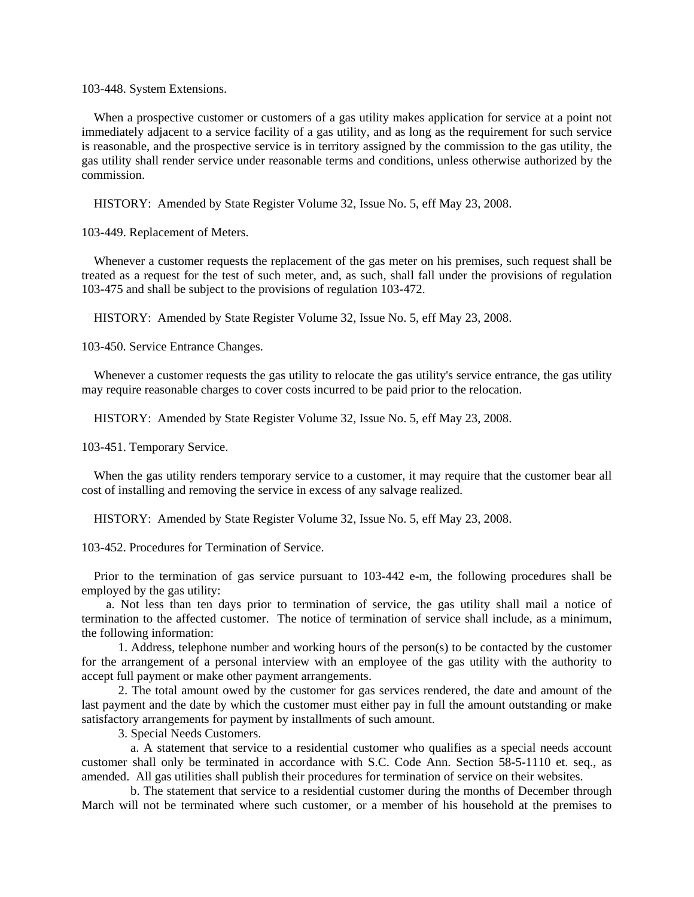103-448. System Extensions.

 When a prospective customer or customers of a gas utility makes application for service at a point not immediately adjacent to a service facility of a gas utility, and as long as the requirement for such service is reasonable, and the prospective service is in territory assigned by the commission to the gas utility, the gas utility shall render service under reasonable terms and conditions, unless otherwise authorized by the commission.

HISTORY: Amended by State Register Volume 32, Issue No. 5, eff May 23, 2008.

103-449. Replacement of Meters.

 Whenever a customer requests the replacement of the gas meter on his premises, such request shall be treated as a request for the test of such meter, and, as such, shall fall under the provisions of regulation 103-475 and shall be subject to the provisions of regulation 103-472.

HISTORY: Amended by State Register Volume 32, Issue No. 5, eff May 23, 2008.

103-450. Service Entrance Changes.

 Whenever a customer requests the gas utility to relocate the gas utility's service entrance, the gas utility may require reasonable charges to cover costs incurred to be paid prior to the relocation.

HISTORY: Amended by State Register Volume 32, Issue No. 5, eff May 23, 2008.

103-451. Temporary Service.

 When the gas utility renders temporary service to a customer, it may require that the customer bear all cost of installing and removing the service in excess of any salvage realized.

HISTORY: Amended by State Register Volume 32, Issue No. 5, eff May 23, 2008.

103-452. Procedures for Termination of Service.

 Prior to the termination of gas service pursuant to 103-442 e-m, the following procedures shall be employed by the gas utility:

 a. Not less than ten days prior to termination of service, the gas utility shall mail a notice of termination to the affected customer. The notice of termination of service shall include, as a minimum, the following information:

 1. Address, telephone number and working hours of the person(s) to be contacted by the customer for the arrangement of a personal interview with an employee of the gas utility with the authority to accept full payment or make other payment arrangements.

 2. The total amount owed by the customer for gas services rendered, the date and amount of the last payment and the date by which the customer must either pay in full the amount outstanding or make satisfactory arrangements for payment by installments of such amount.

3. Special Needs Customers.

 a. A statement that service to a residential customer who qualifies as a special needs account customer shall only be terminated in accordance with S.C. Code Ann. Section 58-5-1110 et. seq., as amended. All gas utilities shall publish their procedures for termination of service on their websites.

 b. The statement that service to a residential customer during the months of December through March will not be terminated where such customer, or a member of his household at the premises to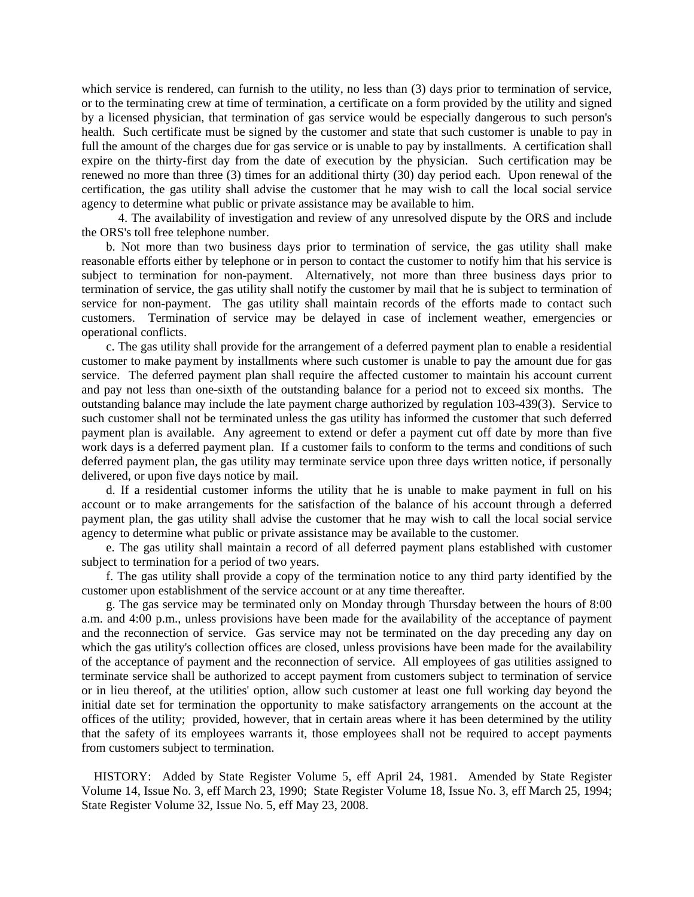which service is rendered, can furnish to the utility, no less than (3) days prior to termination of service, or to the terminating crew at time of termination, a certificate on a form provided by the utility and signed by a licensed physician, that termination of gas service would be especially dangerous to such person's health. Such certificate must be signed by the customer and state that such customer is unable to pay in full the amount of the charges due for gas service or is unable to pay by installments. A certification shall expire on the thirty-first day from the date of execution by the physician. Such certification may be renewed no more than three (3) times for an additional thirty (30) day period each. Upon renewal of the certification, the gas utility shall advise the customer that he may wish to call the local social service agency to determine what public or private assistance may be available to him.

 4. The availability of investigation and review of any unresolved dispute by the ORS and include the ORS's toll free telephone number.

 b. Not more than two business days prior to termination of service, the gas utility shall make reasonable efforts either by telephone or in person to contact the customer to notify him that his service is subject to termination for non-payment. Alternatively, not more than three business days prior to termination of service, the gas utility shall notify the customer by mail that he is subject to termination of service for non-payment. The gas utility shall maintain records of the efforts made to contact such customers. Termination of service may be delayed in case of inclement weather, emergencies or operational conflicts.

 c. The gas utility shall provide for the arrangement of a deferred payment plan to enable a residential customer to make payment by installments where such customer is unable to pay the amount due for gas service. The deferred payment plan shall require the affected customer to maintain his account current and pay not less than one-sixth of the outstanding balance for a period not to exceed six months. The outstanding balance may include the late payment charge authorized by regulation 103-439(3). Service to such customer shall not be terminated unless the gas utility has informed the customer that such deferred payment plan is available. Any agreement to extend or defer a payment cut off date by more than five work days is a deferred payment plan. If a customer fails to conform to the terms and conditions of such deferred payment plan, the gas utility may terminate service upon three days written notice, if personally delivered, or upon five days notice by mail.

 d. If a residential customer informs the utility that he is unable to make payment in full on his account or to make arrangements for the satisfaction of the balance of his account through a deferred payment plan, the gas utility shall advise the customer that he may wish to call the local social service agency to determine what public or private assistance may be available to the customer.

 e. The gas utility shall maintain a record of all deferred payment plans established with customer subject to termination for a period of two years.

 f. The gas utility shall provide a copy of the termination notice to any third party identified by the customer upon establishment of the service account or at any time thereafter.

 g. The gas service may be terminated only on Monday through Thursday between the hours of 8:00 a.m. and 4:00 p.m., unless provisions have been made for the availability of the acceptance of payment and the reconnection of service. Gas service may not be terminated on the day preceding any day on which the gas utility's collection offices are closed, unless provisions have been made for the availability of the acceptance of payment and the reconnection of service. All employees of gas utilities assigned to terminate service shall be authorized to accept payment from customers subject to termination of service or in lieu thereof, at the utilities' option, allow such customer at least one full working day beyond the initial date set for termination the opportunity to make satisfactory arrangements on the account at the offices of the utility; provided, however, that in certain areas where it has been determined by the utility that the safety of its employees warrants it, those employees shall not be required to accept payments from customers subject to termination.

 HISTORY: Added by State Register Volume 5, eff April 24, 1981. Amended by State Register Volume 14, Issue No. 3, eff March 23, 1990; State Register Volume 18, Issue No. 3, eff March 25, 1994; State Register Volume 32, Issue No. 5, eff May 23, 2008.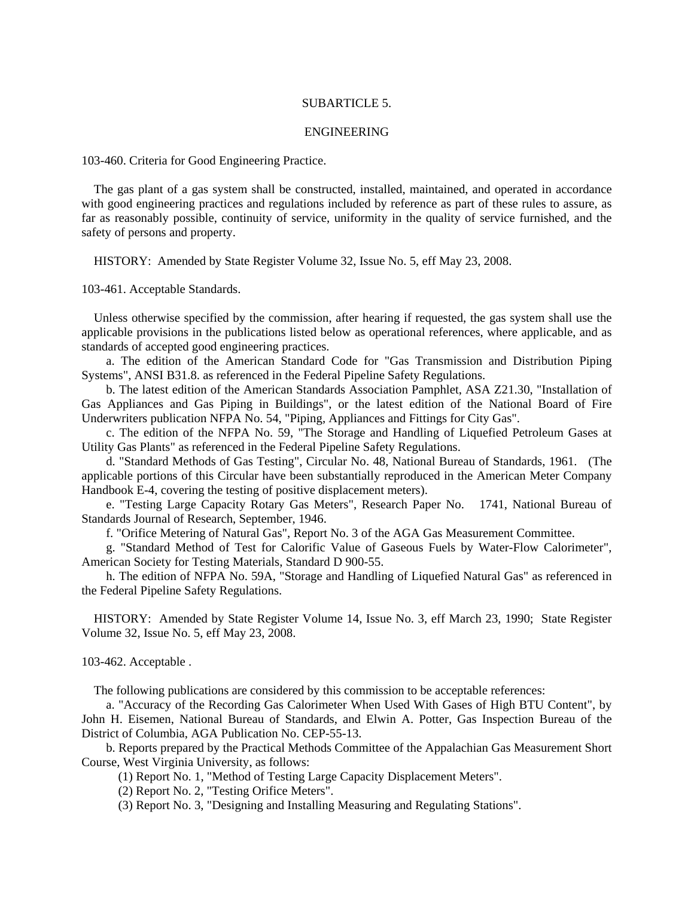### SUBARTICLE 5.

#### ENGINEERING

103-460. Criteria for Good Engineering Practice.

 The gas plant of a gas system shall be constructed, installed, maintained, and operated in accordance with good engineering practices and regulations included by reference as part of these rules to assure, as far as reasonably possible, continuity of service, uniformity in the quality of service furnished, and the safety of persons and property.

HISTORY: Amended by State Register Volume 32, Issue No. 5, eff May 23, 2008.

103-461. Acceptable Standards.

 Unless otherwise specified by the commission, after hearing if requested, the gas system shall use the applicable provisions in the publications listed below as operational references, where applicable, and as standards of accepted good engineering practices.

 a. The edition of the American Standard Code for "Gas Transmission and Distribution Piping Systems", ANSI B31.8. as referenced in the Federal Pipeline Safety Regulations.

 b. The latest edition of the American Standards Association Pamphlet, ASA Z21.30, "Installation of Gas Appliances and Gas Piping in Buildings", or the latest edition of the National Board of Fire Underwriters publication NFPA No. 54, "Piping, Appliances and Fittings for City Gas".

 c. The edition of the NFPA No. 59, "The Storage and Handling of Liquefied Petroleum Gases at Utility Gas Plants" as referenced in the Federal Pipeline Safety Regulations.

 d. "Standard Methods of Gas Testing", Circular No. 48, National Bureau of Standards, 1961. (The applicable portions of this Circular have been substantially reproduced in the American Meter Company Handbook E-4, covering the testing of positive displacement meters).

 e. "Testing Large Capacity Rotary Gas Meters", Research Paper No. 1741, National Bureau of Standards Journal of Research, September, 1946.

f. "Orifice Metering of Natural Gas", Report No. 3 of the AGA Gas Measurement Committee.

 g. "Standard Method of Test for Calorific Value of Gaseous Fuels by Water-Flow Calorimeter", American Society for Testing Materials, Standard D 900-55.

 h. The edition of NFPA No. 59A, "Storage and Handling of Liquefied Natural Gas" as referenced in the Federal Pipeline Safety Regulations.

 HISTORY: Amended by State Register Volume 14, Issue No. 3, eff March 23, 1990; State Register Volume 32, Issue No. 5, eff May 23, 2008.

103-462. Acceptable .

The following publications are considered by this commission to be acceptable references:

 a. "Accuracy of the Recording Gas Calorimeter When Used With Gases of High BTU Content", by John H. Eisemen, National Bureau of Standards, and Elwin A. Potter, Gas Inspection Bureau of the District of Columbia, AGA Publication No. CEP-55-13.

 b. Reports prepared by the Practical Methods Committee of the Appalachian Gas Measurement Short Course, West Virginia University, as follows:

(1) Report No. 1, "Method of Testing Large Capacity Displacement Meters".

(2) Report No. 2, "Testing Orifice Meters".

(3) Report No. 3, "Designing and Installing Measuring and Regulating Stations".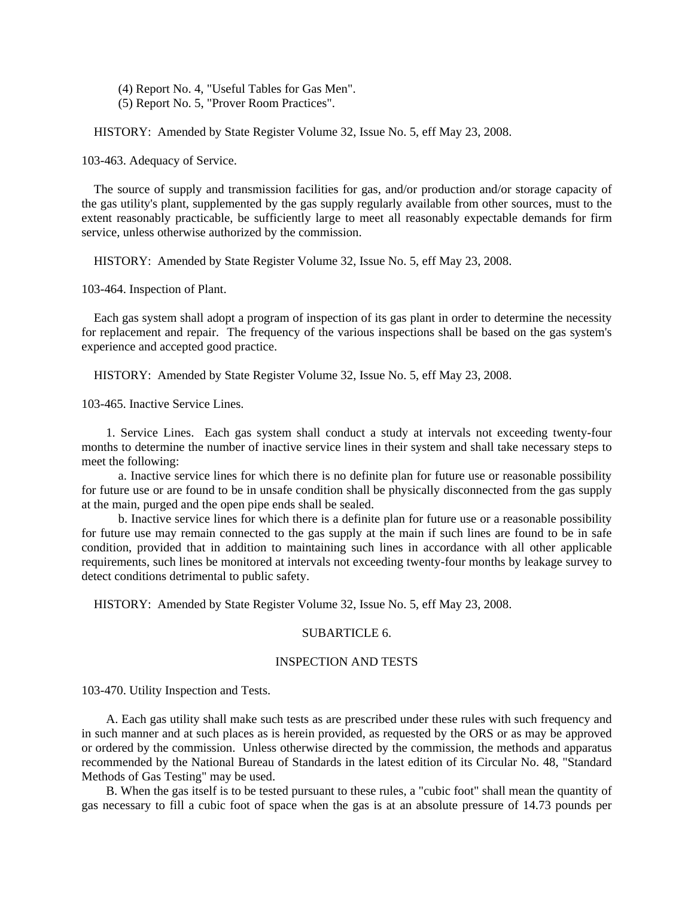(4) Report No. 4, "Useful Tables for Gas Men".

(5) Report No. 5, "Prover Room Practices".

HISTORY: Amended by State Register Volume 32, Issue No. 5, eff May 23, 2008.

103-463. Adequacy of Service.

 The source of supply and transmission facilities for gas, and/or production and/or storage capacity of the gas utility's plant, supplemented by the gas supply regularly available from other sources, must to the extent reasonably practicable, be sufficiently large to meet all reasonably expectable demands for firm service, unless otherwise authorized by the commission.

HISTORY: Amended by State Register Volume 32, Issue No. 5, eff May 23, 2008.

103-464. Inspection of Plant.

 Each gas system shall adopt a program of inspection of its gas plant in order to determine the necessity for replacement and repair. The frequency of the various inspections shall be based on the gas system's experience and accepted good practice.

HISTORY: Amended by State Register Volume 32, Issue No. 5, eff May 23, 2008.

103-465. Inactive Service Lines.

 1. Service Lines. Each gas system shall conduct a study at intervals not exceeding twenty-four months to determine the number of inactive service lines in their system and shall take necessary steps to meet the following:

 a. Inactive service lines for which there is no definite plan for future use or reasonable possibility for future use or are found to be in unsafe condition shall be physically disconnected from the gas supply at the main, purged and the open pipe ends shall be sealed.

 b. Inactive service lines for which there is a definite plan for future use or a reasonable possibility for future use may remain connected to the gas supply at the main if such lines are found to be in safe condition, provided that in addition to maintaining such lines in accordance with all other applicable requirements, such lines be monitored at intervals not exceeding twenty-four months by leakage survey to detect conditions detrimental to public safety.

HISTORY: Amended by State Register Volume 32, Issue No. 5, eff May 23, 2008.

### SUBARTICLE 6

# INSPECTION AND TESTS

103-470. Utility Inspection and Tests.

 A. Each gas utility shall make such tests as are prescribed under these rules with such frequency and in such manner and at such places as is herein provided, as requested by the ORS or as may be approved or ordered by the commission. Unless otherwise directed by the commission, the methods and apparatus recommended by the National Bureau of Standards in the latest edition of its Circular No. 48, "Standard Methods of Gas Testing" may be used.

 B. When the gas itself is to be tested pursuant to these rules, a "cubic foot" shall mean the quantity of gas necessary to fill a cubic foot of space when the gas is at an absolute pressure of 14.73 pounds per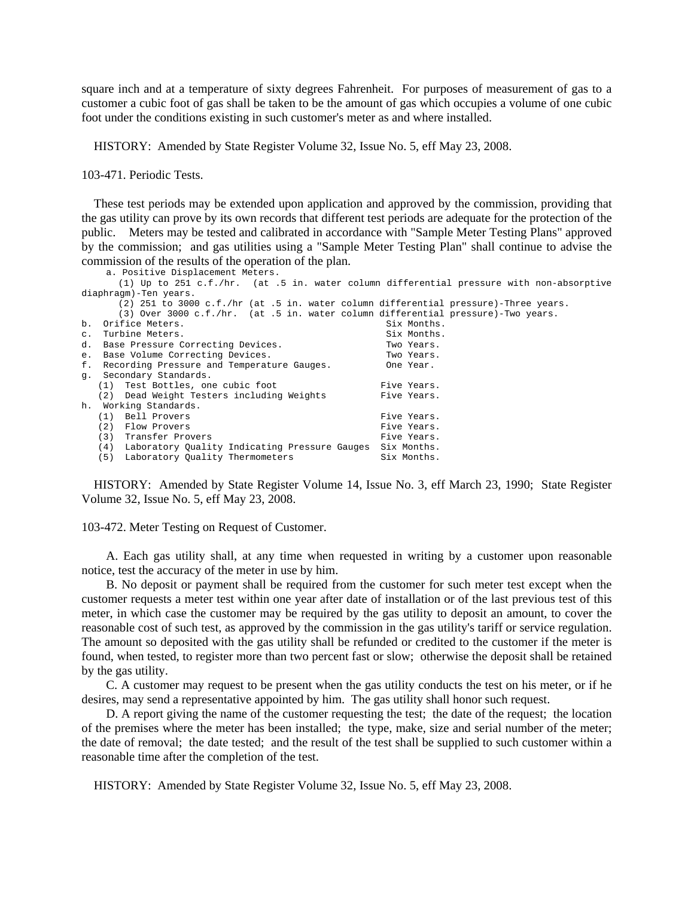square inch and at a temperature of sixty degrees Fahrenheit. For purposes of measurement of gas to a customer a cubic foot of gas shall be taken to be the amount of gas which occupies a volume of one cubic foot under the conditions existing in such customer's meter as and where installed.

HISTORY: Amended by State Register Volume 32, Issue No. 5, eff May 23, 2008.

103-471. Periodic Tests.

 These test periods may be extended upon application and approved by the commission, providing that the gas utility can prove by its own records that different test periods are adequate for the protection of the public. Meters may be tested and calibrated in accordance with "Sample Meter Testing Plans" approved by the commission; and gas utilities using a "Sample Meter Testing Plan" shall continue to advise the commission of the results of the operation of the plan. a. Positive Displacement Meters.

|                       | $(1)$ Up to 251 c.f./hr. (at .5 in. water column differential pressure with non-absorptive |             |  |
|-----------------------|--------------------------------------------------------------------------------------------|-------------|--|
| diaphragm)-Ten years. |                                                                                            |             |  |
|                       | (2) 251 to 3000 c.f./hr (at .5 in. water column differential pressure)-Three years.        |             |  |
|                       | $(3)$ Over 3000 c.f./hr. (at .5 in. water column differential pressure)-Two years.         |             |  |
|                       | b. Orifice Meters.                                                                         | Six Months. |  |
|                       | c. Turbine Meters.                                                                         | Six Months. |  |
|                       | d. Base Pressure Correcting Devices.                                                       | Two Years.  |  |
|                       | e. Base Volume Correcting Devices.                                                         | Two Years.  |  |
|                       | f. Recording Pressure and Temperature Gauges.                                              | One Year.   |  |
|                       | q. Secondary Standards.                                                                    |             |  |
|                       | (1) Test Bottles, one cubic foot                                                           | Five Years. |  |
|                       | (2) Dead Weight Testers including Weights                                                  | Five Years. |  |
|                       | h. Working Standards.                                                                      |             |  |
|                       | (1) Bell Provers                                                                           | Five Years. |  |
|                       | (2)<br>Flow Provers                                                                        | Five Years. |  |
|                       | (3)<br>Transfer Provers                                                                    | Five Years. |  |
|                       | (4) Laboratory Quality Indicating Pressure Gauges                                          | Six Months. |  |
|                       | (5) Laboratory Ouality Thermometers                                                        | Six Months. |  |

 HISTORY: Amended by State Register Volume 14, Issue No. 3, eff March 23, 1990; State Register Volume 32, Issue No. 5, eff May 23, 2008.

103-472. Meter Testing on Request of Customer.

 A. Each gas utility shall, at any time when requested in writing by a customer upon reasonable notice, test the accuracy of the meter in use by him.

 B. No deposit or payment shall be required from the customer for such meter test except when the customer requests a meter test within one year after date of installation or of the last previous test of this meter, in which case the customer may be required by the gas utility to deposit an amount, to cover the reasonable cost of such test, as approved by the commission in the gas utility's tariff or service regulation. The amount so deposited with the gas utility shall be refunded or credited to the customer if the meter is found, when tested, to register more than two percent fast or slow; otherwise the deposit shall be retained by the gas utility.

 C. A customer may request to be present when the gas utility conducts the test on his meter, or if he desires, may send a representative appointed by him. The gas utility shall honor such request.

 D. A report giving the name of the customer requesting the test; the date of the request; the location of the premises where the meter has been installed; the type, make, size and serial number of the meter; the date of removal; the date tested; and the result of the test shall be supplied to such customer within a reasonable time after the completion of the test.

HISTORY: Amended by State Register Volume 32, Issue No. 5, eff May 23, 2008.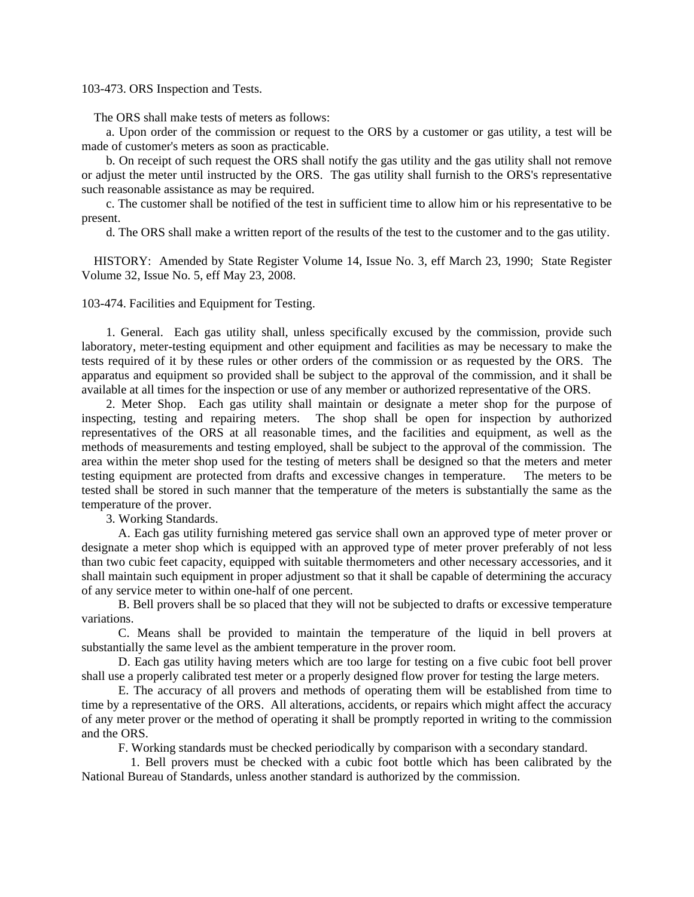### 103-473. ORS Inspection and Tests.

The ORS shall make tests of meters as follows:

 a. Upon order of the commission or request to the ORS by a customer or gas utility, a test will be made of customer's meters as soon as practicable.

 b. On receipt of such request the ORS shall notify the gas utility and the gas utility shall not remove or adjust the meter until instructed by the ORS. The gas utility shall furnish to the ORS's representative such reasonable assistance as may be required.

 c. The customer shall be notified of the test in sufficient time to allow him or his representative to be present.

d. The ORS shall make a written report of the results of the test to the customer and to the gas utility.

 HISTORY: Amended by State Register Volume 14, Issue No. 3, eff March 23, 1990; State Register Volume 32, Issue No. 5, eff May 23, 2008.

103-474. Facilities and Equipment for Testing.

 1. General. Each gas utility shall, unless specifically excused by the commission, provide such laboratory, meter-testing equipment and other equipment and facilities as may be necessary to make the tests required of it by these rules or other orders of the commission or as requested by the ORS. The apparatus and equipment so provided shall be subject to the approval of the commission, and it shall be available at all times for the inspection or use of any member or authorized representative of the ORS.

 2. Meter Shop. Each gas utility shall maintain or designate a meter shop for the purpose of inspecting, testing and repairing meters. The shop shall be open for inspection by authorized representatives of the ORS at all reasonable times, and the facilities and equipment, as well as the methods of measurements and testing employed, shall be subject to the approval of the commission. The area within the meter shop used for the testing of meters shall be designed so that the meters and meter testing equipment are protected from drafts and excessive changes in temperature. The meters to be tested shall be stored in such manner that the temperature of the meters is substantially the same as the temperature of the prover.

3. Working Standards.

 A. Each gas utility furnishing metered gas service shall own an approved type of meter prover or designate a meter shop which is equipped with an approved type of meter prover preferably of not less than two cubic feet capacity, equipped with suitable thermometers and other necessary accessories, and it shall maintain such equipment in proper adjustment so that it shall be capable of determining the accuracy of any service meter to within one-half of one percent.

 B. Bell provers shall be so placed that they will not be subjected to drafts or excessive temperature variations.

 C. Means shall be provided to maintain the temperature of the liquid in bell provers at substantially the same level as the ambient temperature in the prover room.

 D. Each gas utility having meters which are too large for testing on a five cubic foot bell prover shall use a properly calibrated test meter or a properly designed flow prover for testing the large meters.

 E. The accuracy of all provers and methods of operating them will be established from time to time by a representative of the ORS. All alterations, accidents, or repairs which might affect the accuracy of any meter prover or the method of operating it shall be promptly reported in writing to the commission and the ORS.

F. Working standards must be checked periodically by comparison with a secondary standard.

 1. Bell provers must be checked with a cubic foot bottle which has been calibrated by the National Bureau of Standards, unless another standard is authorized by the commission.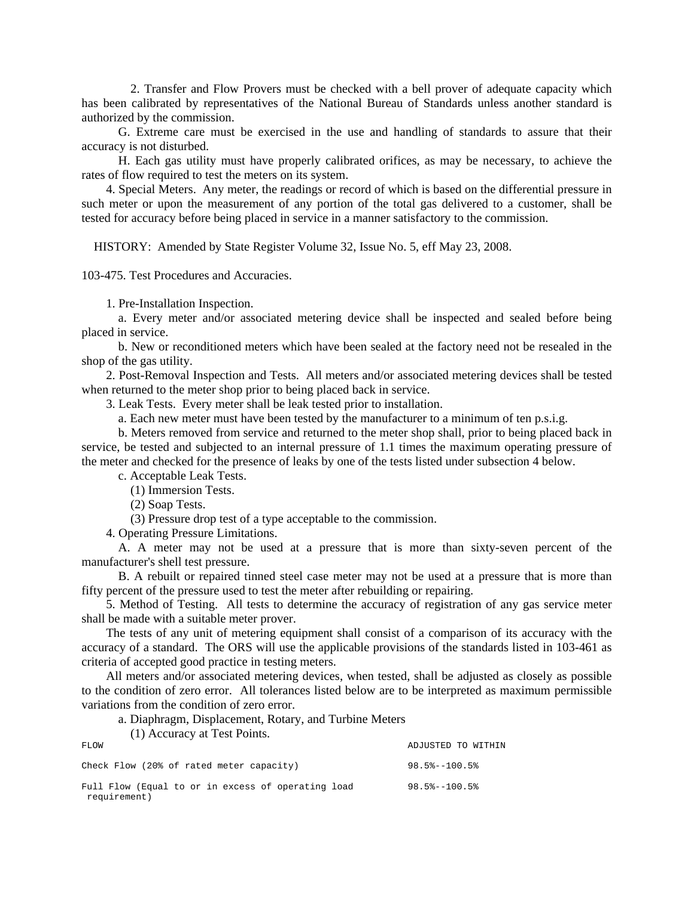2. Transfer and Flow Provers must be checked with a bell prover of adequate capacity which has been calibrated by representatives of the National Bureau of Standards unless another standard is authorized by the commission.

 G. Extreme care must be exercised in the use and handling of standards to assure that their accuracy is not disturbed.

 H. Each gas utility must have properly calibrated orifices, as may be necessary, to achieve the rates of flow required to test the meters on its system.

 4. Special Meters. Any meter, the readings or record of which is based on the differential pressure in such meter or upon the measurement of any portion of the total gas delivered to a customer, shall be tested for accuracy before being placed in service in a manner satisfactory to the commission.

HISTORY: Amended by State Register Volume 32, Issue No. 5, eff May 23, 2008.

103-475. Test Procedures and Accuracies.

1. Pre-Installation Inspection.

 a. Every meter and/or associated metering device shall be inspected and sealed before being placed in service.

 b. New or reconditioned meters which have been sealed at the factory need not be resealed in the shop of the gas utility.

 2. Post-Removal Inspection and Tests. All meters and/or associated metering devices shall be tested when returned to the meter shop prior to being placed back in service.

3. Leak Tests. Every meter shall be leak tested prior to installation.

a. Each new meter must have been tested by the manufacturer to a minimum of ten p.s.i.g.

 b. Meters removed from service and returned to the meter shop shall, prior to being placed back in service, be tested and subjected to an internal pressure of 1.1 times the maximum operating pressure of the meter and checked for the presence of leaks by one of the tests listed under subsection 4 below.

c. Acceptable Leak Tests.

(1) Immersion Tests.

(2) Soap Tests.

(3) Pressure drop test of a type acceptable to the commission.

4. Operating Pressure Limitations.

 A. A meter may not be used at a pressure that is more than sixty-seven percent of the manufacturer's shell test pressure.

 B. A rebuilt or repaired tinned steel case meter may not be used at a pressure that is more than fifty percent of the pressure used to test the meter after rebuilding or repairing.

 5. Method of Testing. All tests to determine the accuracy of registration of any gas service meter shall be made with a suitable meter prover.

 The tests of any unit of metering equipment shall consist of a comparison of its accuracy with the accuracy of a standard. The ORS will use the applicable provisions of the standards listed in 103-461 as criteria of accepted good practice in testing meters.

 All meters and/or associated metering devices, when tested, shall be adjusted as closely as possible to the condition of zero error. All tolerances listed below are to be interpreted as maximum permissible variations from the condition of zero error.

a. Diaphragm, Displacement, Rotary, and Turbine Meters

(1) Accuracy at Test Points.

| FLOW                                                               | ADJUSTED TO WITHIN         |
|--------------------------------------------------------------------|----------------------------|
| Check Flow (20% of rated meter capacity)                           | $98.5$ $-100.5$ $\epsilon$ |
| Full Flow (Equal to or in excess of operating load<br>requirement) | $98.5$ $-100.5$ $\epsilon$ |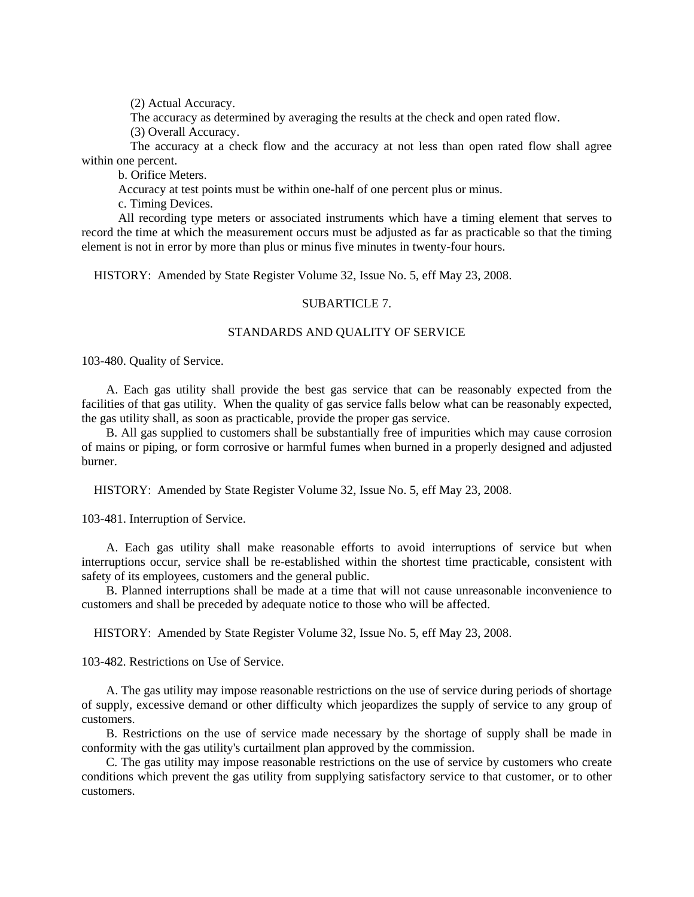(2) Actual Accuracy.

The accuracy as determined by averaging the results at the check and open rated flow.

(3) Overall Accuracy.

 The accuracy at a check flow and the accuracy at not less than open rated flow shall agree within one percent.

b. Orifice Meters.

Accuracy at test points must be within one-half of one percent plus or minus.

c. Timing Devices.

 All recording type meters or associated instruments which have a timing element that serves to record the time at which the measurement occurs must be adjusted as far as practicable so that the timing element is not in error by more than plus or minus five minutes in twenty-four hours.

HISTORY: Amended by State Register Volume 32, Issue No. 5, eff May 23, 2008.

### SUBARTICLE 7.

### STANDARDS AND QUALITY OF SERVICE

103-480. Quality of Service.

 A. Each gas utility shall provide the best gas service that can be reasonably expected from the facilities of that gas utility. When the quality of gas service falls below what can be reasonably expected, the gas utility shall, as soon as practicable, provide the proper gas service.

 B. All gas supplied to customers shall be substantially free of impurities which may cause corrosion of mains or piping, or form corrosive or harmful fumes when burned in a properly designed and adjusted burner.

HISTORY: Amended by State Register Volume 32, Issue No. 5, eff May 23, 2008.

103-481. Interruption of Service.

 A. Each gas utility shall make reasonable efforts to avoid interruptions of service but when interruptions occur, service shall be re-established within the shortest time practicable, consistent with safety of its employees, customers and the general public.

 B. Planned interruptions shall be made at a time that will not cause unreasonable inconvenience to customers and shall be preceded by adequate notice to those who will be affected.

HISTORY: Amended by State Register Volume 32, Issue No. 5, eff May 23, 2008.

103-482. Restrictions on Use of Service.

 A. The gas utility may impose reasonable restrictions on the use of service during periods of shortage of supply, excessive demand or other difficulty which jeopardizes the supply of service to any group of customers.

 B. Restrictions on the use of service made necessary by the shortage of supply shall be made in conformity with the gas utility's curtailment plan approved by the commission.

 C. The gas utility may impose reasonable restrictions on the use of service by customers who create conditions which prevent the gas utility from supplying satisfactory service to that customer, or to other customers.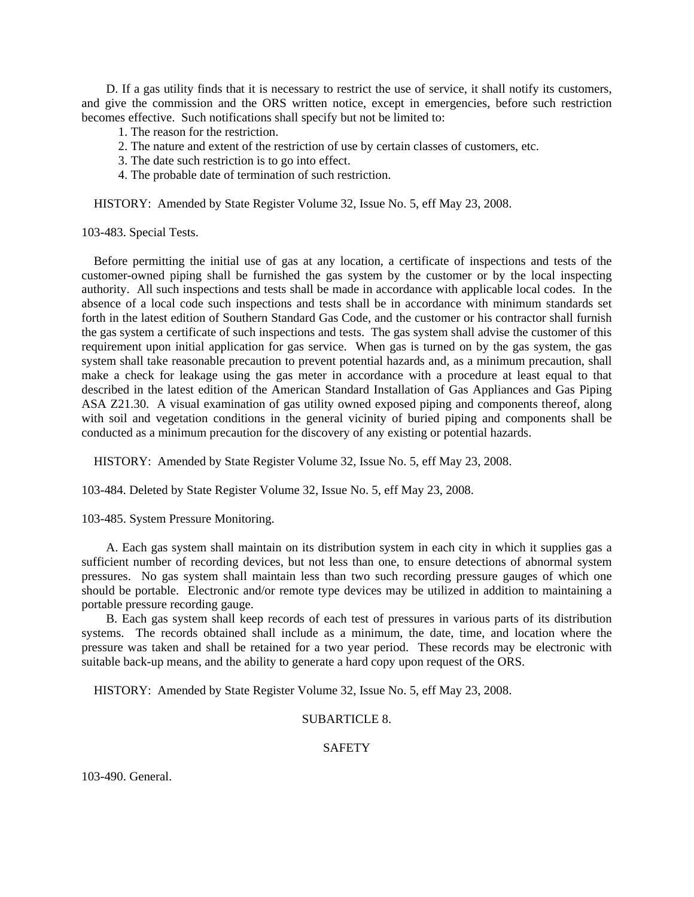D. If a gas utility finds that it is necessary to restrict the use of service, it shall notify its customers, and give the commission and the ORS written notice, except in emergencies, before such restriction becomes effective. Such notifications shall specify but not be limited to:

- 1. The reason for the restriction.
- 2. The nature and extent of the restriction of use by certain classes of customers, etc.
- 3. The date such restriction is to go into effect.
- 4. The probable date of termination of such restriction.

HISTORY: Amended by State Register Volume 32, Issue No. 5, eff May 23, 2008.

103-483. Special Tests.

 Before permitting the initial use of gas at any location, a certificate of inspections and tests of the customer-owned piping shall be furnished the gas system by the customer or by the local inspecting authority. All such inspections and tests shall be made in accordance with applicable local codes. In the absence of a local code such inspections and tests shall be in accordance with minimum standards set forth in the latest edition of Southern Standard Gas Code, and the customer or his contractor shall furnish the gas system a certificate of such inspections and tests. The gas system shall advise the customer of this requirement upon initial application for gas service. When gas is turned on by the gas system, the gas system shall take reasonable precaution to prevent potential hazards and, as a minimum precaution, shall make a check for leakage using the gas meter in accordance with a procedure at least equal to that described in the latest edition of the American Standard Installation of Gas Appliances and Gas Piping ASA Z21.30. A visual examination of gas utility owned exposed piping and components thereof, along with soil and vegetation conditions in the general vicinity of buried piping and components shall be conducted as a minimum precaution for the discovery of any existing or potential hazards.

HISTORY: Amended by State Register Volume 32, Issue No. 5, eff May 23, 2008.

103-484. Deleted by State Register Volume 32, Issue No. 5, eff May 23, 2008.

103-485. System Pressure Monitoring.

 A. Each gas system shall maintain on its distribution system in each city in which it supplies gas a sufficient number of recording devices, but not less than one, to ensure detections of abnormal system pressures. No gas system shall maintain less than two such recording pressure gauges of which one should be portable. Electronic and/or remote type devices may be utilized in addition to maintaining a portable pressure recording gauge.

 B. Each gas system shall keep records of each test of pressures in various parts of its distribution systems. The records obtained shall include as a minimum, the date, time, and location where the pressure was taken and shall be retained for a two year period. These records may be electronic with suitable back-up means, and the ability to generate a hard copy upon request of the ORS.

HISTORY: Amended by State Register Volume 32, Issue No. 5, eff May 23, 2008.

### SUBARTICLE 8.

### SAFETY

103-490. General.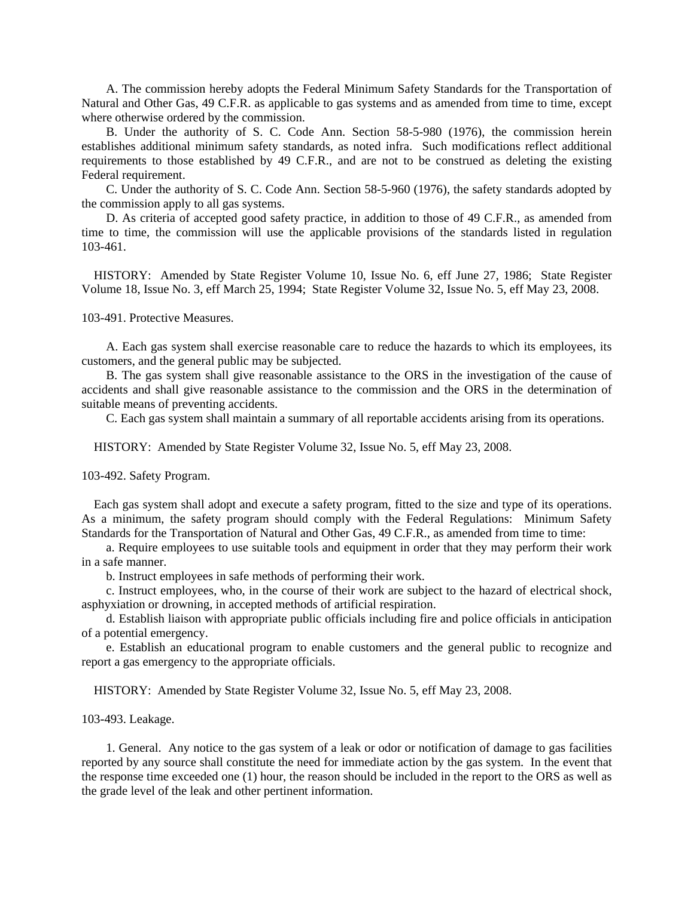A. The commission hereby adopts the Federal Minimum Safety Standards for the Transportation of Natural and Other Gas, 49 C.F.R. as applicable to gas systems and as amended from time to time, except where otherwise ordered by the commission.

 B. Under the authority of S. C. Code Ann. Section 58-5-980 (1976), the commission herein establishes additional minimum safety standards, as noted infra. Such modifications reflect additional requirements to those established by 49 C.F.R., and are not to be construed as deleting the existing Federal requirement.

 C. Under the authority of S. C. Code Ann. Section 58-5-960 (1976), the safety standards adopted by the commission apply to all gas systems.

 D. As criteria of accepted good safety practice, in addition to those of 49 C.F.R., as amended from time to time, the commission will use the applicable provisions of the standards listed in regulation 103-461.

 HISTORY: Amended by State Register Volume 10, Issue No. 6, eff June 27, 1986; State Register Volume 18, Issue No. 3, eff March 25, 1994; State Register Volume 32, Issue No. 5, eff May 23, 2008.

103-491. Protective Measures.

 A. Each gas system shall exercise reasonable care to reduce the hazards to which its employees, its customers, and the general public may be subjected.

 B. The gas system shall give reasonable assistance to the ORS in the investigation of the cause of accidents and shall give reasonable assistance to the commission and the ORS in the determination of suitable means of preventing accidents.

C. Each gas system shall maintain a summary of all reportable accidents arising from its operations.

HISTORY: Amended by State Register Volume 32, Issue No. 5, eff May 23, 2008.

103-492. Safety Program.

 Each gas system shall adopt and execute a safety program, fitted to the size and type of its operations. As a minimum, the safety program should comply with the Federal Regulations: Minimum Safety Standards for the Transportation of Natural and Other Gas, 49 C.F.R., as amended from time to time:

 a. Require employees to use suitable tools and equipment in order that they may perform their work in a safe manner.

b. Instruct employees in safe methods of performing their work.

 c. Instruct employees, who, in the course of their work are subject to the hazard of electrical shock, asphyxiation or drowning, in accepted methods of artificial respiration.

 d. Establish liaison with appropriate public officials including fire and police officials in anticipation of a potential emergency.

 e. Establish an educational program to enable customers and the general public to recognize and report a gas emergency to the appropriate officials.

HISTORY: Amended by State Register Volume 32, Issue No. 5, eff May 23, 2008.

103-493. Leakage.

 1. General. Any notice to the gas system of a leak or odor or notification of damage to gas facilities reported by any source shall constitute the need for immediate action by the gas system. In the event that the response time exceeded one (1) hour, the reason should be included in the report to the ORS as well as the grade level of the leak and other pertinent information.